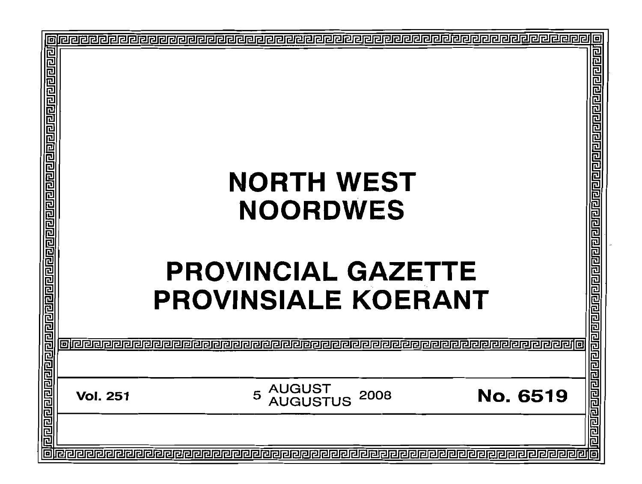| 回 |                                                                                                           |                                                        |
|---|-----------------------------------------------------------------------------------------------------------|--------------------------------------------------------|
|   | <b>NORTH WEST</b><br><b>NOORDWES</b><br><b>PROVINCIAL</b><br><b>GAZETTE</b><br><b>PROVINSIALE KOERANT</b> | <u>ialaialaisia alaialaialaialaialaialaialaia</u><br>Ë |
|   |                                                                                                           |                                                        |
|   | AUGUST<br>AUGUSTUS<br><b>No. 6519</b><br>5<br>2008<br><b>Vol. 251</b>                                     | <u>नौरागगगगगगगगगगगगगगग</u>                             |
|   |                                                                                                           |                                                        |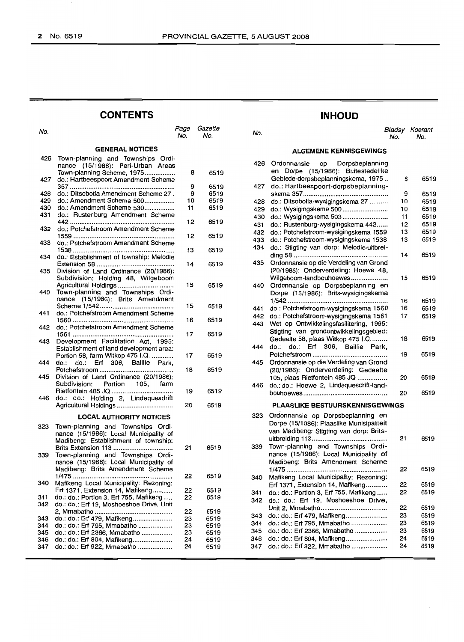do.: do.: Erf 804, Mafikeng .. do.: do.: Erf 922, Mmabatho ..

|            | <b>CONTENTS</b>                                                                                        |             |                |            | <b>INHOUD</b>                                                   |
|------------|--------------------------------------------------------------------------------------------------------|-------------|----------------|------------|-----------------------------------------------------------------|
| No.        |                                                                                                        | Page<br>No. | Gazette<br>No. | No.        |                                                                 |
|            | <b>GENERAL NOTICES</b>                                                                                 |             |                |            | <b>ALGEMENE KENNISO</b>                                         |
| 426        | Town-planning and Townships Ordi-                                                                      |             |                | 426        | Ordonnansie<br>Dorpsb<br>op                                     |
| 427        | nance (15/1986): Peri-Urban Areas<br>Town-planning Scheme, 1975<br>do.: Hartbeespoort Amendment Scheme | 8           | 6519           |            | en Dorpe (15/1986): Buit<br>Gebiede-dorpsbeplanningsker         |
|            |                                                                                                        | 9           | 6519           | 427        | do.: Hartbeespoort-dorpsbe                                      |
| 428        | do.: Ditsobotla Amendment Scheme 27.                                                                   | 9           | 6519           |            | skema 357                                                       |
| 429        | do.: Amendment Scheme 500                                                                              | 10          | 6519           | 428        | do.: Ditsobotla-wysigingskema                                   |
| 430<br>431 | do.: Amendment Scheme 530                                                                              | 11          | 6519           | 429        | do.: Wysigingskema 500                                          |
|            | do.: Rustenburg Amendment Scheme                                                                       | 12          | 6519           | 430        | do.: Wysigingskema 503                                          |
| 432        | do.: Potchefstroom Amendment Scheme                                                                    |             |                | 431        | do.: Rustenburg-wysigingsken                                    |
|            |                                                                                                        | 12          | 6519           | 432        | do.: Potchefstroom-wysigingsk                                   |
| 433        | do.: Potchefstroom Amendment Scheme                                                                    |             |                | 433        | do.: Potchefstroom-wysigingsk                                   |
|            |                                                                                                        | 13          | 6519           | 434        | do.: Stigting van dorp: Melo                                    |
| 434        | do.: Establishment of township: Melodie                                                                |             |                |            |                                                                 |
|            |                                                                                                        | 14          | 6519           | 435        | Ordonnansie op die Verdeling                                    |
| 435        | Division of Land Ordinance (20/1986):                                                                  |             |                |            | (20/1986): Onderverdeling: H                                    |
|            | Subdivision: Holding 48, Wilgeboom                                                                     |             |                |            | Wilgeboom-landbouhoewes                                         |
| 440        | Agricultural Holdings<br>Town-planning and Townships Ordi-                                             | 15          | 6519           | 440        | Ordonnansie op Dorpsbepla                                       |
|            | nance (15/1986): Brits Amendment                                                                       |             |                |            | Dorpe (15/1986): Brits-wysig                                    |
|            |                                                                                                        | 15          | 6519           |            |                                                                 |
| 441        | do.: Potchefstroom Amendment Scheme                                                                    |             |                | 441        | do.: Potchefstroom-wysigingsk                                   |
|            |                                                                                                        | 16          | 6519           | 442<br>443 | do.: Potchefstroom-wysigingsk                                   |
| 442        | do.: Potchefstroom Amendment Scheme                                                                    |             |                |            | Wet op Ontwikkelingsfasiliteri<br>Stigting van grondontwikkelin |
|            |                                                                                                        | 17          | 6519           |            | Gedeelte 58, plaas Witkop 475                                   |
| 443        | Development Facilitation Act, 1995:                                                                    |             |                | 444        | do.: do.: Erf 306, Baill                                        |
|            | Establishment of land development area:                                                                |             |                |            | Potchefstroom                                                   |
| 444        | Portion 58, farm Witkop 475 I.Q.                                                                       | 17          | 6519           | 445        | Ordonnansie op die Verdeling                                    |
|            | do.:<br>do.:<br>Erf<br>306,<br>Baillie Park,                                                           | 18          | 6519           |            | (20/1986): Onderverdeling:                                      |
| 445        | Division of Land Ordinance (20/1986):                                                                  |             |                |            | 105, plaas Rietfontein 485 JQ                                   |
|            | Subdivision:<br>Portion<br>105,<br>farm                                                                |             |                | 446        | do.: do.: Hoewe 2, Lindeques                                    |
|            |                                                                                                        | 19          | 6519           |            | bouhoewes                                                       |
| 446        | do.: do.: Holding 2, Lindequesdrift                                                                    |             |                |            |                                                                 |
|            | Agricultural Holdings                                                                                  | 20          | 6519           |            | <b>PLAASLIKE BESTUURSKEI</b>                                    |
|            | <b>LOCAL AUTHORITY NOTICES</b>                                                                         |             |                | 323        | Ordonnansie op Dorpsbepla                                       |
|            |                                                                                                        |             |                |            | Dorpe (15/1986): Plaaslike Mu                                   |
| 323        | Town-planning and Townships Ordi-                                                                      |             |                |            | van Madibeng: Stigting van de                                   |
|            | nance (15/1986): Local Municipality of                                                                 |             |                |            | uitbreiding 113                                                 |
|            | Madibeng: Establishment of township:                                                                   | 21          | 6519           | 339        | Town-planning and Townshi                                       |
| 339        | Town-planning and Townships Ordi-                                                                      |             |                |            | nance (15/1986): Local Muni                                     |
|            | nance (15/1986): Local Municipality of                                                                 |             |                |            | Madibeng: Brits Amendment                                       |
|            | Madibeng: Brits Amendment Scheme                                                                       |             |                |            |                                                                 |
|            |                                                                                                        | 22          | 6519           | 340        | Mafikeng Local Municipality: I                                  |
| 340        | Mafikeng Local Municipality: Rezoning:                                                                 |             |                |            | Erf 1371, Extension 14, Mafike                                  |
|            | Erf 1371, Extension 14, Mafikeng                                                                       | 22          | 6519           | 341        | do.: do.: Portion 3, Erf 755, Ma                                |
| 341        | do.: do.: Portion 3, Erf 755, Mafikeng                                                                 | 22          | 6519           | 342        | do.: do.: Erf 19, Moshoesh                                      |
| 342        | do.: do.: Erf 19, Moshoeshoe Drive, Unit                                                               |             |                |            | Unit 2, Mmabatho                                                |
|            |                                                                                                        | 22          | 6519           | 343        | do.: do.: Erf 479, Mafikeng                                     |
| 343<br>344 | do.: do.: Erf 479, Mafikeng<br>do.: do.: Erf 795, Mmabatho                                             | 23<br>23    | 6519<br>6519   | 344        | do.: do.: Erf 795, Mmabatho                                     |
| 345        | do.: do.: Erf 2366, Mmabatho                                                                           | 23          | 6519           | 345        | do.: do.: Erf 2366, Mmabatho                                    |
|            |                                                                                                        |             |                |            |                                                                 |

 do.: do.: Erf 804, Mafikeng...................... 24 347 do.: do.: Erf 922, Mmabatho .................... 24

| Page<br>No. | Gazette<br>No. | No.        |                                                                               | Bladsy<br>No. | Koerant<br>No. |
|-------------|----------------|------------|-------------------------------------------------------------------------------|---------------|----------------|
|             |                |            | <b>ALGEMENE KENNISGEWINGS</b>                                                 |               |                |
|             |                | 426        | Ordonnansie<br>Dorpsbeplanning<br>op                                          |               |                |
| 8           | 6519           |            | en Dorpe (15/1986): Buitestedelike                                            |               |                |
|             |                |            | Gebiede-dorpsbeplanningskema, 1975                                            | 8             | 6519           |
| 9           | 6519           | 427        | do.: Hartbeespoort-dorpsbeplanning-                                           |               |                |
| 9<br>10     | 6519<br>6519   |            |                                                                               | 9             | 6519           |
| 11          | 6519           | 428        | do.: Ditsobotla-wysigingskema 27                                              | 10            | 6519           |
|             |                | 429<br>430 | do.: Wysigingskema 500<br>do.: Wysigingskema 503                              | 10<br>11      | 6519<br>6519   |
| 12          | 6519           | 431        | do.: Rustenburg-wysigingskema 442                                             | 12            | 6519           |
|             |                | 432        | do.: Potchefstroom-wysigingskema 1559                                         | 13            | 6519           |
| 12          | 6519           | 433        | do.: Potchefstroom-wysigingskema 1538                                         | 13            | 6519           |
|             |                | 434        | do.: Stigting van dorp: Melodie-uitbrei-                                      |               |                |
| 13          | 6519           |            |                                                                               | 14            | 6519           |
| 14          | 6519           | 435        | Ordonnansie op die Verdeling van Grond                                        |               |                |
|             |                |            | (20/1986): Onderverdeling: Hoewe 48,                                          |               |                |
|             |                |            | Wilgeboom-landbouhoewes                                                       | 15            | 6519           |
| 15          | 6519           | 440        | Ordonnansie op Dorpsbeplanning en                                             |               |                |
|             |                |            | Dorpe (15/1986): Brits-wysigingskema                                          |               |                |
|             |                |            |                                                                               | 16            | 6519           |
| 15          | 6519           | 441        | do.: Potchefstroom-wysigingskema 1560                                         | 16            | 6519           |
| 16          | 6519           | 442        | do.: Potchefstroom-wysigingskema 1561                                         | 17            | 6519           |
|             |                | 443        | Wet op Ontwikkelingsfasilitering, 1995:                                       |               |                |
| 17          | 6519           |            | Stigting van grondontwikkelingsgebied:                                        |               |                |
|             |                |            | Gedeelte 58, plaas Witkop 475 I.Q                                             | 18            | 6519           |
|             |                | 444        | Erf<br>306, Baillie Park,<br>do.:<br>do.:                                     |               |                |
| 17          | 6519           |            |                                                                               | 19            | 6519           |
| 18          | 6519           | 445        | Ordonnansie op die Verdeling van Grond<br>(20/1986): Onderverdeling: Gedeelte |               |                |
|             |                |            | 105, plaas Rietfontein 485 JQ                                                 | 20            | 6519           |
|             |                | 446        | do.: do.: Hoewe 2, Lindequesdrift-land-                                       |               |                |
| 19          | 6519           |            |                                                                               | 20            | 6519           |
|             |                |            |                                                                               |               |                |
| 20          | 6519           |            | <b>PLAASLIKE BESTUURSKENNISGEWINGS</b>                                        |               |                |
|             |                | 323        | Ordonnansie op Dorpsbeplanning en                                             |               |                |
|             |                |            | Dorpe (15/1986): Plaaslike Munisipaliteit                                     |               |                |
|             |                |            | van Madibeng: Stigting van dorp: Brits-                                       | 21            | 6519           |
|             |                | 339        | Town-planning and Townships Ordi-                                             |               |                |
| 21          | 6519           |            | nance (15/1986): Local Municipality of                                        |               |                |
|             |                |            | Madibeng: Brits Amendment Scheme                                              |               |                |
|             |                |            |                                                                               | 22            | 6519           |
| 22          | 6519           | 340        | Mafikeng Local Municipality: Rezoning:                                        |               |                |
|             |                |            | Erf 1371, Extension 14, Mafikeng                                              | 22            | 6519           |
| 22          | 6519           | 341        | do.: do.: Portion 3, Erf 755, Mafikeng                                        | 22            | 6519           |
| 22          | 6519           | 342        | do.: do.: Erf 19, Moshoeshoe Drive,                                           |               |                |
|             |                |            |                                                                               | 22            | 6519           |
| 22<br>23    | 6519<br>6519   | 343        | do.: do.: Erf 479, Mafikeng                                                   | 23            | 6519           |
| 23          | 6519           | 344        | do.: do.: Erf 795, Mmabatho                                                   | 23            | 6519           |
| 23          | 6519           | 345        | do.: do.: Erf 2366, Mmabatho                                                  | 23            | 6519           |
| 24          | 6510           | 346        | $do: do: \textsf{Frf}$ 804 Mafikeng $\ldots$                                  | 24            | 6519           |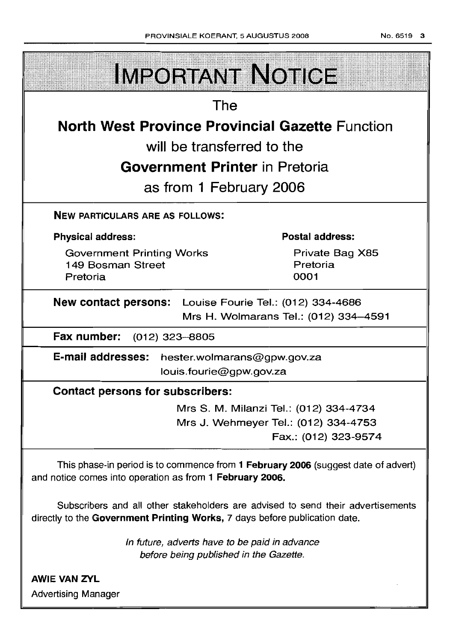| <b>IMPORTANT NOTICE</b>                                                                                                                                       |                                        |  |  |  |
|---------------------------------------------------------------------------------------------------------------------------------------------------------------|----------------------------------------|--|--|--|
| The                                                                                                                                                           |                                        |  |  |  |
| <b>North West Province Provincial Gazette Function</b>                                                                                                        |                                        |  |  |  |
| will be transferred to the                                                                                                                                    |                                        |  |  |  |
| <b>Government Printer</b> in Pretoria                                                                                                                         |                                        |  |  |  |
|                                                                                                                                                               |                                        |  |  |  |
| as from 1 February 2006                                                                                                                                       |                                        |  |  |  |
| <b>NEW PARTICULARS ARE AS FOLLOWS:</b>                                                                                                                        |                                        |  |  |  |
| <b>Physical address:</b>                                                                                                                                      | <b>Postal address:</b>                 |  |  |  |
| <b>Government Printing Works</b><br>149 Bosman Street<br>Pretoria                                                                                             | Private Bag X85<br>Pretoria<br>0001    |  |  |  |
| New contact persons: Louise Fourie Tel.: (012) 334-4686<br>Mrs H. Wolmarans Tel.: (012) 334-4591                                                              |                                        |  |  |  |
| Fax number: (012) 323-8805                                                                                                                                    |                                        |  |  |  |
| <b>E-mail addresses:</b><br>hester.wolmarans@gpw.gov.za                                                                                                       |                                        |  |  |  |
| louis.fourie@gpw.gov.za                                                                                                                                       |                                        |  |  |  |
| <b>Contact persons for subscribers:</b>                                                                                                                       |                                        |  |  |  |
|                                                                                                                                                               | Mrs S. M. Milanzi Tel.: (012) 334-4734 |  |  |  |
|                                                                                                                                                               | Mrs J. Wehmeyer Tel.: (012) 334-4753   |  |  |  |
|                                                                                                                                                               | Fax.: (012) 323-9574                   |  |  |  |
| This phase-in period is to commence from 1 February 2006 (suggest date of advert)<br>and notice comes into operation as from 1 February 2006.                 |                                        |  |  |  |
| Subscribers and all other stakeholders are advised to send their advertisements<br>directly to the Government Printing Works, 7 days before publication date. |                                        |  |  |  |

In future, adverts have to be paid in advance before being published in the Gazette.

AWIE VAN ZVL Advertising Manager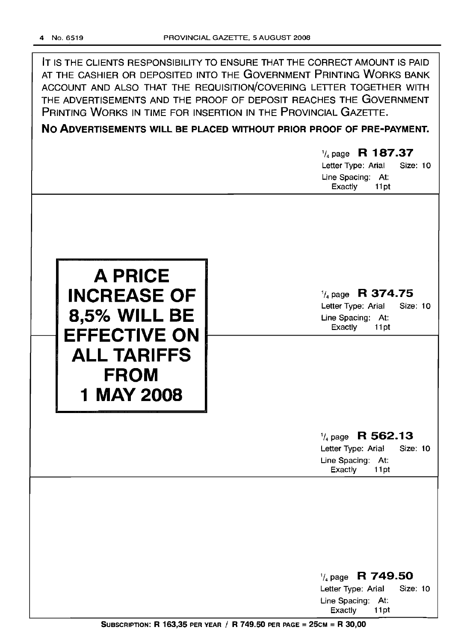| IT IS THE CLIENTS RESPONSIBILITY TO ENSURE THAT THE CORRECT AMOUNT IS PAID |
|----------------------------------------------------------------------------|
| AT THE CASHIER OR DEPOSITED INTO THE GOVERNMENT PRINTING WORKS BANK        |
| ACCOUNT AND ALSO THAT THE REQUISITION/COVERING LETTER TOGETHER WITH        |
| THE ADVERTISEMENTS AND THE PROOF OF DEPOSIT REACHES THE GOVERNMENT         |
| PRINTING WORKS IN TIME FOR INSERTION IN THE PROVINCIAL GAZETTE.            |

**No ADVERTISEMENTS WILL BE PLACED WITHOUT PRIOR PROOF OF PRE-PAYMENT.**

# '/4 page **R 187.37** Letter Type: Arial Size: 10 Line Spacing: At: Exactly 11pt '/4 page **R 374.75** Letter Type: Arial Size: 10 Line Spacing: At: Exactly 11pt **A PRICE INCREASE OF 8,5% WILL BE EFFECTIVE ON ALL TARIFFS FROM 1** MAY 2008 '/4 page **R 562.13** Letter Type: Arial Size: 10 Line Spacing: At: Exactly 11pt '/4 page **R 749.50** Letter Type: Arial Size: 10

Line Spacing: At: Exactly 11pt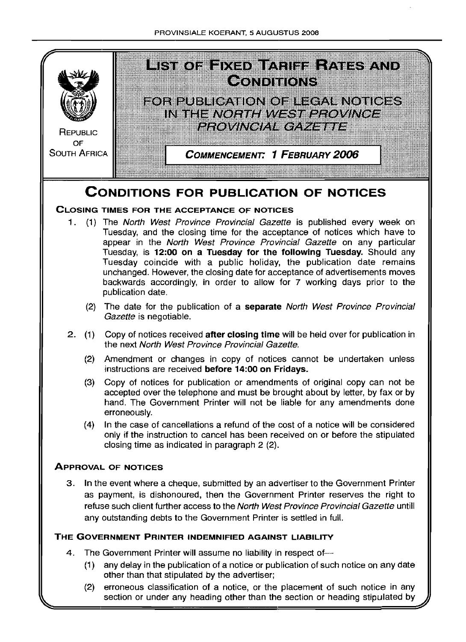

(2) erroneous classification of a notice, or the placement of such notice in any section or under any heading other than the section or heading stipulated by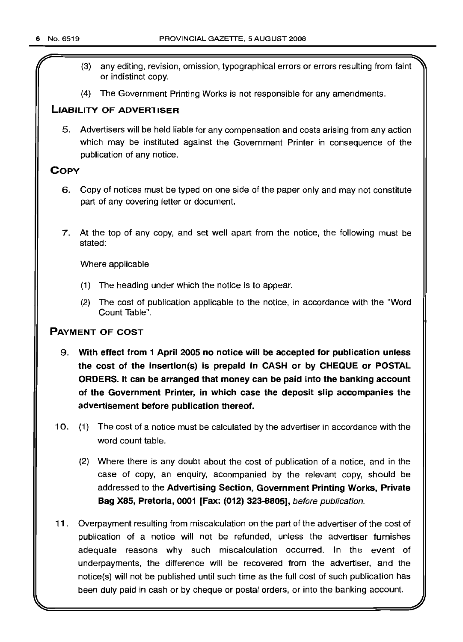- r (3) any editing, revision, omission, typographical errors or errors resulting from faint or indistinct copy.
- (4) The Government Printing Works is not responsible for any amendments.

#### LIABILITY OF ADVERTISER

5. Advertisers will be held liable for any compensation and costs arising from any action which may be instituted against the Government Printer in consequence of the publication of any notice.

### **COPY**

- 6. Copy of notices must be typed on one side of the paper only and may not constitute part of any covering letter or document.
- 7. At the top of any copy, and set well apart from the notice, the following must be stated:

Where applicable

- (1) The heading under which the notice is to appear.
- (2) The cost of publication applicable to the notice, in accordance with the "Word Count Table".

### PAYMENT OF COST

- 9. With effect from 1 April 2005 no notice will be accepted for publication unless the cost of the insertion(s) is prepaid in CASH or by CHEQUE or POSTAL ORDERS. It can be arranged that money can be paid into the banking account of the Government Printer, in which case the deposit slip accompanies the advertisement before publication thereof.
- 10. (1) The cost of a notice must be calculated by the advertiser in accordance with the word count table.
	- (2) Where there is any doubt about the cost of publication of a notice, and in the case of copy, an enquiry, accompanied by the relevant copy, should be addressed to the Advertising Section, Government Printing Works, Private Bag X85, Pretoria, 0001 [Fax: (012) 323-8805], before publication.
- 11 . Overpayment resulting from miscalculation on the part of the advertiser of the cost of publication of a notice will not be refunded, unless the advertiser furnishes adequate reasons why such miscalculation occurred. In the event of underpayments, the difference will be recovered from the advertiser, and the notice(s) will not be published until such time as the full cost of such publication has been duly paid in cash or by cheque or postal orders, or into the banking account.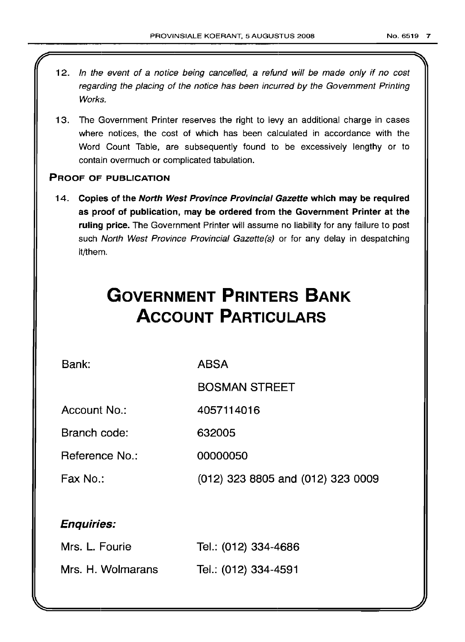12. In the event of a notice being cancelled, a refund will be made only if no cost regarding the placing of the notice has been incurred by the Government Printing Works. 13. The Government Printer reserves the right to levy an additional charge in cases where notices, the cost of which has been calculated in accordance with the Word Count Table, are subsequently found to be excessively lengthy or to contain overmuch or complicated tabulation. PROOF OF PUBLICATION 14. Copies of the North West Province Provincial Gazette which may be required as proof of publication, may be ordered from the Government Printer at the ruling price. The Government Printer will assume no liability for any failure to post such North West Province Provincial Gazette(s) or for any delay in despatching it/them. **GOVERNMENT PRINTERS BANK ACCOUNT PARTICULARS** Bank: Account No.: Branch code: ABSA BOSMAN STREET 4057114016 632005

Reference No.: 00000050

Fax No.: (012) 323 8805 and (012) 323 0009

### Enquiries:

| Mrs. L. Fourie    | Tel.: (012) 334-4686 |
|-------------------|----------------------|
| Mrs. H. Wolmarans | Tel.: (012) 334-4591 |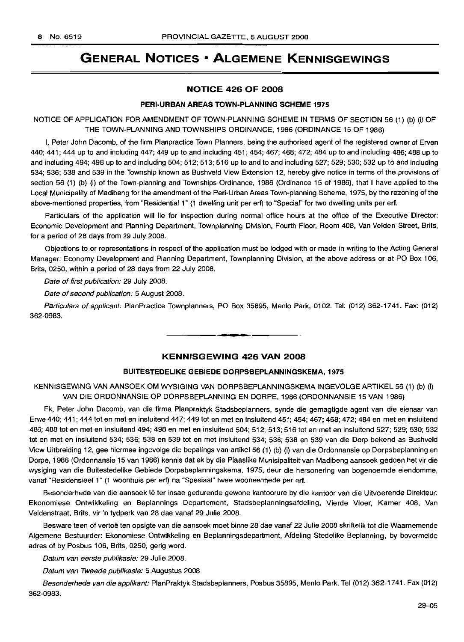## **GENERAL NOTICES • ALGEMENE KENNISGEWINGS**

#### **NOTICE 426 OF 2008**

#### **PERI-URBAN AREAS TOWN-PLANNING SCHEME 1975**

NOTICE OF APPLICATION FOR AMENDMENT OF TOWN-PLANNING SCHEME IN TERMS OF SECTION 56 (1) (b) (i) OF THE TOWN-PLANNING AND TOWNSHIPS ORDINANCE, 1986 (ORDINANCE 15 OF 1986)

I, Peter John Dacomb, of the firm Planpractice Town Planners, being the authorised agent of the registered owner of Erven 440; 441; 444 up to and including 447; 449 up to and including 451; 454; 467; 468; 472; 484 up to and including 486; 488 up to and including 494; 498 up to and including 504; 512; 513; 516 up to and to and including 527; 529; 530; 532 up to and including 534; 536; 538 and 539 in the Township known as Bushveld View Extension 12, hereby give notice in terms of the provisions of section 56 (1) (b) (i) of the Town-planning and Townships Ordinance, 1986 (Ordinance 15 of 1986), that I have applied to the Local Municipality of Madibeng for the amendment of the Peri-Urban Areas Town-planning Scheme, 1975, by the rezoning of the above-mentioned properties, from "Residential 1" (1 dwelling unit per erf) to "Special" for two dwelling units per erf.

Particulars of the application will lie for inspection during normal office hours at the office of the Executive Director: Economic Development and Planning Department, Townplanning Division, Fourth Floor, Room 408, Van Velden Street, Brits, for a period of 28 days from 29 July 2008.

Objections to or representations in respect of the application must be lodged with or made in writing to the Acting General Manager: Economy Development and Planning Department, Townplanning Division, at the above address or at PO Box 106, Brits, 0250, within a period of 28 days from 22 July 2008.

Date of first publication: 29 July 2008.

Date of second publication: 5 August 2008.

Particulars of applicant: PlanPractice Townplanners, PO Box 35895, Menlo Park, 0102. Tel: (012) 362-1741. Fax: (012) 362-0983. .**- .**

#### **KENNISGEWING 426 VAN 2008**

#### **BUITESTEDELIKE GEBIEDE DORPSBEPLANNINGSKEMA, 1975**

KENNISGEWING VAN AANSOEK OM WYSIGING VAN DORPSBEPLANNINGSKEMA INGEVOLGE ARTIKEL 56 (1) (b) (i) VAN DIE ORDONNANSIE OP DORPSBEPLANNING EN DORPE, 1986 (ORDONNANSIE 15 VAN 1986)

Ek, Peter John Dacomb, van die firma Planpraktyk Stadsbeplanners, synde die gemagtigde agent van die eienaar van Erwe 440; 441; 444 tot en met en insluitend 447; 449 tot en met en insluitend 451; 454; 467; 468; 472; 484 en met en insluitend 486; 488 tot en met en insluitend 494; 498 en met en insluitend 504; 512; 513; 516 tot en met en insluitend 527; 529; 530; 532 tot en met en insluitend 534; 536; 538 en 539 tot en met insluitend 534; 536; 538 en 539 van die Dorp bekend as Bushveld View Uitbreiding 12, gee hiermee ingevolge die bepalings van artikel 56 (1) (b) (i) van die Ordonnansie op Dorpsbeplanning en Dorpe, 1986 (Ordonnansie 15 van 1986) kennis dat ek by die Plaaslike Munisipaliteit van Madibeng aansoek gedoen het vir die wysiging van die Buitestedelike Gebiede Dorpsbeplanningskema, 1975, deur die hersonering van bogenoemde eiendomme, vanaf "Residensieel 1" (1 woonhuis per ert) na "Spesiaal" twee wooneenhede per ert.

Besonderhede van die aansoek lê ter insae gedurende gewone kantoorure by die kantoor van die Uitvoerende Direkteur: Ekonomiese Ontwikkeling en Beplannings Departement, Stadsbeplanningsafdeling, Vierde Vloer, Kamer 408, Van Veldenstraat, Brits, vir 'n tydperk van 28 dae vanaf 29 Julie 2008.

Besware teen of vertoë ten opsigte van die aansoek moet binne 28 dae vanaf 22 Julie 2008 skriftelik tot die Waarnemende Algemene Bestuurder: Ekonomiese Ontwikkeling en Beplanningsdepartment, Afdeling Stedelike Beplanning, by bovermelde adres of by Posbus 106, Brits, 0250, gerig word.

Datum van eerste publikasie: 29 Julie 2008.

Datum van Tweede publikasie: 5 Augustus 2008

Besonderhede van die applikant: PlanPraktyk Stadsbeplanners, Posbus 35895, Menlo Park. Tel (012) 362-1741. Fax (012) 362-0983.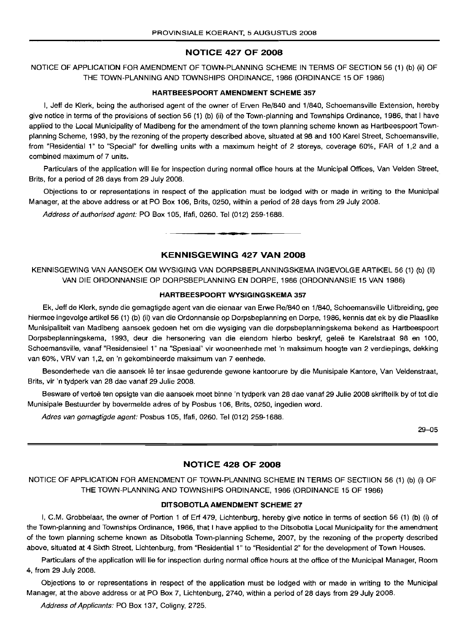#### **NOTICE 427 OF 2008**

NOTICE OF APPLICATION FOR AMENDMENT OF TOWN-PLANNING SCHEME IN TERMS OF SECTION 56 (1) (b) (ii) OF THE TOWN-PLANNING AND TOWNSHIPS ORDINANCE, 1986 (ORDINANCE 15 OF 1986)

#### **HARTBEESPOORT AMENDMENT SCHEME 357**

I, Jeff de Klerk, beinq the authorised agent of the owner of Erven Re/840 and 1/840, Schoemansville Extension, hereby give notice in terms of the provisions of section 56 (1) (b) (ii) of the Town-planning and Townships Ordinance, 1986, that I have applied to the Local Municipality of Madibeng for the amendment of the town planning scheme known as Hartbeespoort Townplanning Scheme, 1993, by the rezoning of the property described above, situated at 98 and 100 Karel Street, Schoemansville, from "Residential 1" to "Special" for dwelling units with a maximum height of 2 storeys, coverage 60%, FAR of 1,2 and a combined maximum of 7 units.

Particulars of the application will lie for inspection during normal office hours at the Municipal Offices, Van Velden Street, Brits, for a period of 28 days from 29 July 2008.

Objections to or representations in respect of the application must be lodged with or made in writing to the Municipal Manager, at the above address or at PO Box 106, Brits, 0250, within a period of 28 days from 29 July 2008.

Address of authorised agent: PO Box 105, Ifafi, 0260. Tel (012) 259-1688.

#### **KENNISGEWING 427 VAN 2008**

**-**

KENNISGEWING VAN AANSOEK OM WYSIGING VAN DORPSBEPLANNINGSKEMA INGEVOLGE ARTIKEL 56 (1) (b) (Ii) VAN DIE ORDONNANSIE OP DORPSBEPLANNING EN DORPE, 1986 (ORDONNANSIE 15 VAN 1986)

#### **HARTBEESPOORT WYSIGINGSKEMA 357**

Ek, Jeff de Klerk, synde die gemagtigde agent van die eienaar van Erwe Re/840 en 1/840, Schoemansville Uitbreiding, gee hiermee ingevolge artikel 56 (1) (b) (ii) van die Ordonnansie op Dorpsbeplanning en Dorpe, 1986, kennis dat ek by die Plaaslike Munisipaliteit van Madibeng aansoek gedoen het om die wysiging van die dorpsbeplanningskema bekend as Hartbeespoort Dorpsbeplanningskema, 1993, deur die hersonering van die eiendom hierbo beskryf, gelee te Karelstraat 98 en 100, Schoemansville, vanaf "Residensieel 1" na "Spesiaal" vir wooneenhede met 'n maksimum hoogte van 2 verdiepings, dekking van 60%, VRV van 1,2, en 'n gekombineerde maksimum van 7 eenhede.

Besonderhede van die aansoek lê ter insae gedurende gewone kantoorure by die Munisipale Kantore, Van Veldenstraat, Brits, vir 'n tydperk van 28 dae vanaf 29 Julie 2008.

Besware of vertoë ten opsigte van die aansoek moet binne 'n tydperk van 28 dae vanaf 29 Julie 2008 skriftelik by of tot die Munisipale Bestuurder by bovermelde adres of by Posbus 106, Brits, 0250, ingedien word.

Adres van gemagtigde agent: Posbus 105, Ifafi, 0260. Tel (012) 259-1688.

29-05

#### **NOTICE 428 OF 2008**

NOTICE OF APPLICATION FOR AMENDMENT OF TOWN-PLANNING SCHEME IN TERMS OF SECTIION 56 (1) (b) (i) OF THE TOWN-PLANNING AND TOWNSHIPS ORDINANCE, 1986 (ORDINANCE 15 OF 1986)

#### **DITSOBOTLA AMENDMENT SCHEME 27**

I, C.M. Grobbelaar, the owner of Portion 1 of Erf 479, Lichtenburg, hereby give notice in terms of section 56 (1) (b) (i) of the Town-planning and Townships Ordinance, 1986, that I have applied to the Ditsobotla Local Municipality for the amendment of the town planning scheme known as Ditsobotla Town-planning Scheme, 2007, by the rezoning of the property described above, situated at 4 Sixth Street, Lichtenburg, from "Residential 1" to "Residential 2" for the development of Town Houses.

Particulars of the application will lie for inspection during normal office hours at the office of the Municipal Manager, Room 4, from 29 JUly 2008.

Objections to or representations in respect of the application must be lodged with or made in writing to the Municipal Manager, at the above address or at PO Box 7, Lichtenburg, 2740, within a period of 28 days from 29 July 2008.

Address of Applicants: PO Box 137, Coligny, 2725.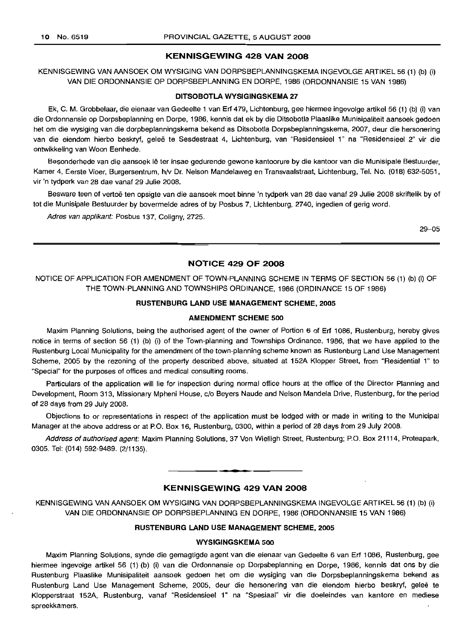#### **KENNISGEWING 428 VAN 2008**

KENNISGEWING VAN AANSOEK OM WYSIGING VAN DORPSBEPLANNINGSKEMA INGEVOLGE ARTIKEL 56 (1) (b) (i) VAN DIE ORDONNANSIE OP DORPSBEPLANNING EN DORPE, 1986 (ORDONNANSIE 15 VAN 1986)

#### **DITSOBOTLA WYSIGINGSKEMA 27**

Ek, C. M. Grobbelaar, die eienaar van Gedeelte 1 van Erf 479, Lichtenburg, gee hiermee ingevolge artikel 56 (1) (b) (i) van die Ordonnansie op Dorpsbeplanning en Darpe, 1986, kennis dat ek by die Ditsobotla Plaaslike Munisipaliteit aansoek gedoen het om die wysiging van die dorpbeplanningskema bekend as Ditsobotla Dorpsbeplanningskema, 2007, deur die hersonering van die eiendom hierbo beskryf, geleë te Sesdestraat 4, Lichtenburg, van "Residensieel 1" na "Residensieel 2" vir die ontwikkeling van Woon Eenhede.

Besonderhede van die aansoek lê ter insae gedurende gewone kantoorure by die kantoor van die Munisipale Bestuurder, Kamer 4, Eerste Vloer, Burgersentrum, h/V Dr. Nelson Mandelaweg en Transvaalstraat, Lichtenburg, Tel. No. (018) 632-5051, vir 'n tydperk van 28 dae vanaf 29 Julie 2008.

Besware teen of vertoë ten opsigte van die aansoek moet binne 'n tydperk van 28 dae vanaf 29 Julie 2008 skriftelik by of tot die Munisipale Bestuurder by bovermelde adres of by Posbus 7, Lichtenburg, 2740, ingedien of gerig ward.

Adres van applikant: Posbus 137, Coligny, 2725.

29-05

#### **NOTICE 429 OF 2008**

NOTICE OF APPLICATION FOR AMENDMENT OF TOWN-PLANNING SCHEME IN TERMS OF SECTION 56 (1) (b) (i) OF THE TOWN-PLANNING AND TOWNSHIPS ORDINANCE, 1986 (ORDINANCE 15 OF 1986)

#### **RUSTENBURG LAND USE MANAGEMENT SCHEME, 2005**

#### **AMENDMENT SCHEME 500**

Maxim Planning Solutions, being the authorised agent of the owner of Portion 6 of Erf 1086, Rustenburg, hereby gives notice in terms of section 56 (1) (b) (i) of the Town-planning and Townships Ordinance, 1986, that we have applied to the Rustenburg Local Municipality for the amendment of the town-planning scheme known as Rustenburg Land Use Management Scheme, 2005 by the rezoning of the property described above, situated at 152A Klopper Street, from "Residential 1" to "Special" for the purposes of offices and medical consulting rooms.

Particulars of the application will lie for inspection during normal office hours at the office of the Director Planning and Development, Room 313, Missionary Mpheni House, c/o Beyers Naude and Nelson Mandela Drive, Rustenburg, for the period of 28 days from 29 July 2008.

Objections to or representations in respect of the application must be lodged with or made in writing to the Municipal Manager at the above address or at P.O. Box 16, Rustenburg, 0300, within a period of 28 days from 29 July 2008.

Address of authorised agent: Maxim Planning Solutions, 37 Von Wielligh Street, Rustenburg; P.O. Box 21114, Proteapark, 0305. Tel: (014) 592-9489. (2/1135).

#### **KENNISGEWING 429 VAN 2008**

**•**

KENNISGEWING VAN AANSOEK OM WYSIGING VAN DORPSBEPLANNINGSKEMA INGEVOLGE ARTIKEL 56 (1) (b) (i) VAN DIE ORDONNANSIE OP DORPSBEPLANNING EN DORPE, 1986 (ORDONNANSIE 15 VAN 1986)

#### **RUSTENBURG LAND USE MANAGEMENT SCHEME, 2005**

#### **WYSIGINGSKEMA 500**

Maxim Planning Solutions, synde die gemagtigde agent van die eienaar van Gedeelte 6 van Erf 1086, Rustenburg, gee hiermee ingevolge artikel 56 (1) (b) (i) van die Ordonnansie op Dorpsbeplanning en Dorpe, 1986, kennis dat ons by die Rustenburg Plaaslike Munisipaliteit aansoek gedoen het om die wysiging van die Dorpsbeplanningskema bekend as Rustenburg Land Use Management Scheme, 2005, deur die hersonering van die eiendom hierbo beskryf, geleë te Klopperstraat 152A, Rustenburg, vanaf "Residensieel 1" na "Spesiaal" vir die doeleindes van kantore en mediese spreekkamers.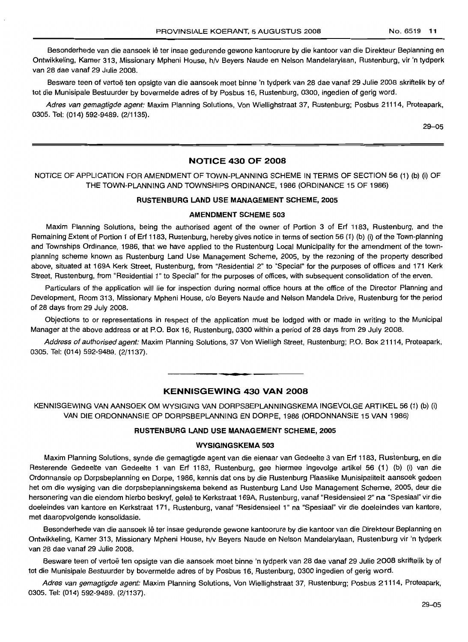Besonderhede van die aansoek lê ter insae gedurende gewone kantoorure by die kantoor van die Direkteur Beplanning en Ontwikkeling, Kamer 313, Missionary Mpheni House, h/v Beyers Naude en Nelson Mandelarylaan, Rustenburg, vir 'n tydperk van 28 dae vanaf 29 Julie 2008.

Besware teen of vertoë ten opsigte van die aansoek moet binne 'n tydperk van 28 dae vanaf 29 Julie 2008 skriftelik by of tot die Munisipale Bestuurder by bovermelde adres of by Posbus 16, Rustenburg, 0300, ingedien of gerig word.

Adres van gemagtigde agent: Maxim Planning Solutions, Von Wiellighstraat 37, Rustenburg; Posbus 21114, Proteapark, 0305. Tel: (014) 592-9489. (2/1135).

29-05

#### **NOTICE 430 OF 2008**

NOTICE OF APPLICATION FOR AMENDMENT OF TOWN-PLANNING SCHEME IN TERMS OF SECTION 56 (1) (b) (i) OF THE TOWN-PLANNING AND TOWNSHIPS ORDINANCE, 1986 (ORDINANCE 15 OF 1986)

#### **RUSTENBURG LAND USE MANAGEMENT SCHEME, 2005**

#### **AMENDMENT SCHEME 503**

Maxim Planning Solutions, being the authorised agent of the owner of Portion 3 of Erf 1183, Rustenburg, and the Remaining Extent of Portion 1 of Erf 1183, Rustenburg, hereby gives notice in terms of section 56 (1) (b) (i) of the Town-planning and Townships Ordinance, 1986, that we have applied to the Rustenburg Local Municipality for the amendment of the townplanning scheme known as Rustenburg Land Use Management Scheme, 2005, by the rezoning of the property described above, situated at 169A Kerk Street, Rustenburg, from "Residential 2" to "Special" for the purposes of offices and 171 Kerk Street, Rustenburg, from "Residential 1" to Special" for the purposes of offices, with subsequent consolidation of the erven.

Particulars of the application will lie for inspection during normal office hours at the office of the Director Planning and Development, Room 313, Missionary Mpheni House, c/o Beyers Naude and Nelson Mandela Drive, Rustenburg for the period of 28 days from 29 July 2008.

Objections to or representations in respect of the application must be lodged with or made in writing to the Municipal Manager at the above address or at P.O. Box 16, Rustenburg, 0300 within a period of 28 days from 29 July 2008.

Address of authorised agent: Maxim Planning Solutions, 37 Von Wielligh Street, Rustenburg; P.O. Box 21114, Proteapark, 0305. Tel: (014) 592-9489. (2/1137).

#### **KENNISGEWING 430 VAN 2008**

**- .**

KENNISGEWING VAN AANSOEK OM WYSIGING VAN DORPSBEPLANNINGSKEMA INGEVOLGE ARTIKEL 56 (1) (b) (i) VAN DIE ORDONNANSIE OP DORPSBEPLANNING EN DORPE, 1986 (ORDONNANSIE 15 VAN 1986)

#### **RUSTENBURG LAND USE MANAGEMENT SCHEME, 2005**

#### **WYSIGINGSKEMA 503**

Maxim Planning Solutions, synde die gemagtigde agent van die eienaar van Gedeelte 3 van Erf 1183, Rustenburg, en die Resterende Gedeelte van Gedeelte 1 van Erf 1183, Rustenburg, gee hiermee ingevolge artikel 56 (1) (b) (i) van die Ordonnansie op Dorpsbeplanning en Dorpe, 1986, kennis dat ons by die Rustenburg Plaaslike Munisipaliteit aansoek gedoen het om die wysiging van die dorpsbeplanningskema bekend as Rustenburg Land Use Management Scheme, 2005, deur die hersonering van die eiendom hierbo beskryf, geleë te Kerkstraat 169A, Rustenburg, vanaf "Residensieel 2" na "Spesiaal" vir die doeleindes van kantore en Kerkstraat 171, Rustenburg, vanaf "Residensieel 1" na "Spesiaal" vir die doeleindes van kantore, met daaropvolgende konsolidasie.

Besonderhede van die aansoek lê ter insae gedurende gewone kantoorure by die kantoor van die Direkteur Beplanning en Ontwikkeling, Kamer 313, Missionary Mpheni House, h/v Beyers Naude en Nelson Mandelarylaan, Rustenburg vir 'n tydperk van 28 dae vanaf 29 Julie 2008.

Besware teen of vertoë ten opsigte van die aansoek moet binne 'n tydperk van 28 dae vanaf 29 Julie 2008 skriftelik by of tot die Munisipale Bestuurder by bovermelde adres of by Posbus 16, Rustenburg, 0300 ingedien of gerig word.

Adres van gemagtigde agent: Maxim Planning Solutions, Von Wiellighstraat 37, Rustenburg; Posbus 21114, Proteapark, 0305. Tel: (014) 592-9489. (2/1137).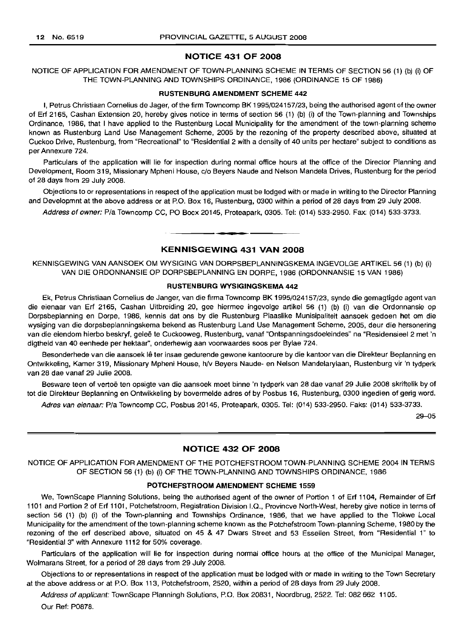#### NOTICE 431 OF 2008

NOTICE OF APPLICATION FOR AMENDMENT OF TOWN-PLANNING SCHEME IN TERMS OF SECTION 56 (1) (b) (i) OF THE TOWN-PLANNING AND TOWNSHIPS ORDINANCE, 1986 (ORDINANCE 15 OF 1986)

#### RUSTENBURG AMENDMENT SCHEME 442

I, Petrus Christiaan Cornelius de Jager, of the firm Towncomp BK 1995/024157/23, being the authorised agent of the owner of Erf 2165, Cashan Extension 20, hereby gives notice in terms of section 56 (1) (b) (i) of the Town-planning and Townships Ordinance, 1986, that I have applied to the Rustenburg Local Municipality for the amendment of the town-planning scheme known as Rustenburg Land Use Management Scheme, 2005 by the rezoning of the property described above, situated at Cuckoo Drive, Rustenburg, from "Recreational" to "Residential 2 with a density of 40 units per hectare" subject to conditions as per Annexure 724.

Particulars of the application will lie for inspection during normal office hours at the office of the Director Planning and Development, Room 319, Missionary Mpheni House, c/o Beyers Naude and Nelson Mandela Drives, Rustenburg for the period of 28 days from 29 July 2008.

Objections to or representations in respect of the application must be lodged with or made in writing to the Director Planning and Developmnt at the above address or at P.O. Box 16, Rustenburg, 0300 within a period of 28 days from 29 July 2008.

Address of owner: Pia Towncomp CC, PO Bocx 20145, Proteapark, 0305. Tel: (014) 533-2950. Fax: (014) 533-3733.

### **•** KENNISGEWING 431 VAN 2008

KENNISGEWING VAN AANSOEK OM WYSIGING VAN DORPSBEPLANNINGSKEMA INGEVOLGE ARTIKEL 56 (1) (b) (i) VAN DIE ORDONNANSIE OP DORPSBEPLANNING EN DORPE, 1986 (ORDONNANSIE 15 VAN 1986)

#### RUSTENBURG WVSIGINGSKEMA 442

Ek, Petrus Christiaan Cornelius de Janger, van die firma Towncomp BK 1995/024157/23, synde die gemagtigde agent van die eienaar van Erf 2165, Cashan Uitbreiding 20, gee hiermee ingevolge artikel 56 (1) (b) (i) van die Ordonnansie op Dorpsbeplanning en Dorpe, 1986, kennis dat ons by die Rustenburg Plaaslike Munisipaliteit aansoek gedoen het om die wysiging van die dorpsbeplanningskema bekend as Rustenburg Land Use Management Scheme, 2005, deur die hersonering van die eiendom hierbo beskryf, geleë te Cuckooweg, Rustenburg, vanaf "Ontspanningsdoeleindes" na "Residensieel 2 met 'n digtheid van 40 eenhede per hektaar", onderhewig aan voorwaardes soos per Bylae 724.

Besonderhede van die aansoek lê ter insae gedurende gewone kantoorure by die kantoor van die Direkteur Beplanning en Ontwikkeling, Kamer 319, Missionary Mpheni House, h/v Beyers Naude- en Nelson Mandelarylaan, Rustenburg vir 'n tydperk van 28 dae vanaf 29 Julie 2008.

Besware teen of vertoë ten opsigte van die aansoek moet binne 'n tydperk van 28 dae vanaf 29 Julie 2008 skriftelik by of tot die Direkteur Beplanning en Ontwikkeling by bovermelde adres of by Posbus 16, Rustenburg, 0300 ingedien of gerig word.

Adres van eienaar: P/a Towncomp CC, Posbus 20145, Proteapark, 0305. Tel: (014) 533-2950. Faks: (014) 533-3733.

29-05

#### NOTICE 432 OF 2008

NOTICE OF APPLICATION FOR AMENDMENT OF THE POTCHEFSTROOM TOWN-PLANNING SCHEME 2004 IN TERMS OF SECTION 56 (1) (b) (i) OF THE TOWN-PLANNING AND TOWNSHIPS ORDINANCE, 1986

#### POTCHEFSTROOM AMENDMENT SCHEME 1559

We, TownScape Planning Solutions, being the authorised agent of the owner of Portion 1 of Erf 1104, Remainder of Erf 1101 and Portion 2 of Erf 1101, Potchefstroom, Registration Division 1.0., Provincve North-West, hereby give notice in terms of section 56 (1) (b) (i) of the Town-planning and Townships Ordinance, 1986, that we have applied to the Tlokwe Local Municipality for the amendment of the town-planning scheme known as the Potchefstroom Town-planning Scheme, 1980 by the rezoning of the erf described above, situated on 45 & 47 Dwars Street and 53 Essellen Street, from "Residential 1" to "Residential 3" with Annexure 1112 for 50% coverage.

Particulars of the application will lie for inspection during normal office hours at the office of the Municipal Manager, Wolmarans Street, for a period of 28 days from 29 July 2008.

Objections to or representations in respect of the application must be lodged with or made in writing to the Town Secretary at the above address or at P.O. Box 113, Potchefstroom, 2520, within a period of 28 days from 29 July 2008.

Address of applicant: TownScape Planningh Solutions, P.O. Box 20831, Noordbrug, 2522. Tel: 082 662 1105. Our Ref: POB78.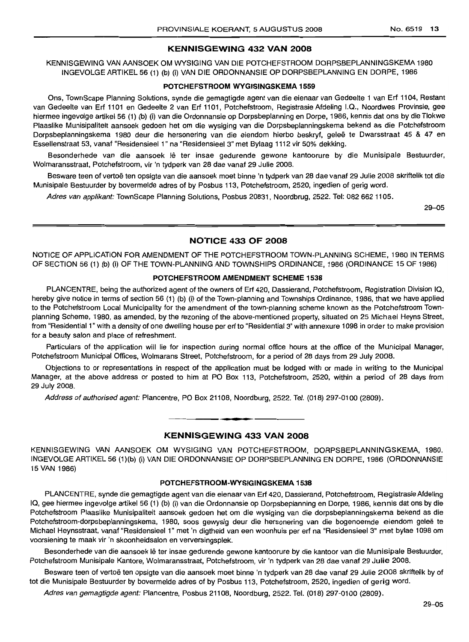#### KENNISGEWING 432 VAN 2008

KENNISGEWING VAN AANSOEK OM WYSIGING VAN DIE POTCHEFSTROOM DORPSBEPLANNINGSKEMA 1980 INGEVOLGE ARTIKEL 56 (1) (b) (i) VAN DIE ORDONNANSIE OP DORPSBEPLANNING EN DORPE, 1986

#### POTCHEFSTROOM WYGISINGSKEMA 1559

Ons, TownScape Planning Solutions, synde die gemagtigde agent van die eienaar van Gedeelte 1 van Erf 1104, Restant van Gedeelte van Erf 1101 en Gedeelte 2 van Erf 1101, Potchefstroom, Registrasie Afdeling I.Q., Noordwes Provinsie, gee hiermee ingevolge artikel 56 (1) (b) (i) van die Ordonnansie op Dorpsbeplanning en Dorpe, 1986, kennis dat ons by die Tlokwe Plaaslike Munisipaliteit aansoek gedoen het om die wysiging van die Dorpsbeplanningskema bekend as die Potchefstroom Dorpsbeplanningskema 1980 deur die hersonering van die eiendom hierbo beskryf, geleë te Dwarsstraat 45 & 47 en Essellenstraat 53, vanaf "Residensieel 1" na "Residensieel 3" met Bylaag 1112 vir 50% dekking.

Besonderhede van die aansoek lê ter insae gedurende gewone kantoorure by die Munisipale Bestuurder, Wolmaransstraat, Potchefstroom, vir 'n tydperk van 28 dae vanaf 29 Julie 2008.

Besware teen of vertoë ten opsigte van die aansoek moet binne 'n tydperk van 28 dae vanaf 29 Julie 2008 skriftelik tot die Munisipale Bestuurder by bovermelde adres of by Posbus 113, Potchefstroom, 2520, ingedien of gerig word.

Adres van applikant: TownScape Planning Solutions, Posbus 20831, Noordbrug, 2522. Tel: 082 662 1105.

29-05

#### NOTICE 433 OF 2008

NOTICE OF APPLICATION FOR AMENDMENT OF THE POTCHEFSTROOM TOWN-PLANNING SCHEME, 1980 IN TERMS OF SECTION 56 (1) (b) (i) OF THE TOWN-PLANNING AND TOWNSHIPS ORDINANCE, 1986 (ORDINANCE 15 OF 1986)

#### POTCHEFSTROOM AMENDMENT SCHEME 1538

PLANCENTRE, being the authorized agent of the owners of Erf 420, Dassierand, Potchefstroom, Registration Division IQ, hereby give notice in terms of section 56 (1) (b) (i) of the Town-planning and Townships Ordinance, 1986, that we have applied to the Potchefstroom Local Municipality for the amendment of the town-planning scheme known as the Potchefstroom Townplanning Scheme, 1980, as amended, by the rezoning of the above-mentioned property, situated on 25 Michael Heyns Street, from "Residential 1" with a density of one dwelling house per erf to "Residential 3" with annexure 1098 in order to make provision for a beauty salon and place of refreshment.

Particulars of the application will lie for inspection during normal office hours at the office of the Municipal Manager, Potchefstroom Municipal Offices, Wolmarans Street, Potchefstroom, for a period of 28 days from 29 July 2008.

Objections to or representations in respect of the application must be lodged with or made in writing to the Municipal Manager, at the above address or posted to him at PO Box 113, Potchefstroom, 2520, within a period of 28 days from 29 July 2008.

Address of authorised agent: Plancentre, PO Box 21108, Noordburg, 2522. Tel. (018) 297-0100 (2809).

### • **• •** KENNISGEWING 433 VAN 2008

KENNISGEWING VAN AANSOEK OM WYSIGING VAN POTCHEFSTROOM, DORPSBEPLANNINGSKEMA, 1980. INGEVOLGE ARTIKEL 56 (1)(b) (i) VAN DIE ORDONNANSIE OP DORPSBEPLANNING EN DORPE, 1986 (ORDONNANSIE 15 VAN 1986)

#### POTCHEFSTROOM-WYSIGINGSKEMA 1538

PLANCENTRE, synde die gemagtigde agent van die eienaar van Erf 420, Dassierand, Potchefstroom, Registrasie Afdeling IQ, gee hiermee ingevolge artikel 56 (1) (b) (i) van die Ordonnansie op Dorpsbeplanning en Dorpe, 1986, kennis dat ons by die Potchefstroom Plaaslike Munisipaliteit aansoek gedoen het om die wysiging van die dorpsbeplanningskema bekend as die Potchefstroom-dorpsbeplanningskema, 1980, soos gewysig deur die hersonering van die bogenoemde eiendom geleë te Michael Heynsstraat, vanaf "Residensieel 1" met 'n digtheid van een woonhuis per erf na "Residensieel 3" met bylae 1098 om voorsiening te maak vir 'n skoonheidsafon en verversingsplek.

Besonderhede van die aansoek lê ter insae gedurende gewone kantoorure by die kantoor van die Munisipale Bestuurder, Potchefstroom Munisipale Kantore, Wolmaransstraat, Potchefstroom, vir 'n tydperk van 28 dae vanaf 29 Julie 2008.

Besware teen of vertoë ten opsigte van die aansoek moet binne 'n tydperk van 28 dae vanaf 29 Julie 2008 skriftelik by of tot die Munisipale Bestuurder by bovermelde adres of by Posbus 113, Potchefstroom, 2520, ingedien of gerig word.

Adres van gemagtigde agent: Plancentre, Posbus 21108, Noordburg, 2522. Tel. (018) 297-0100 (2809).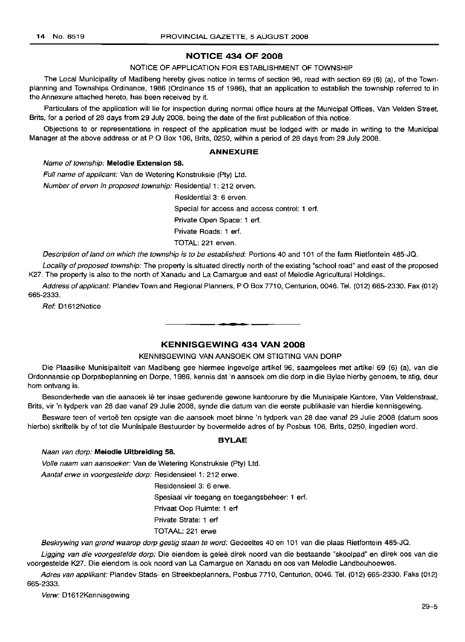#### **NOTICE 434 OF 2008**

NOTICE OF APPLICATION FOR ESTABLISHMENT OF TOWNSHIP

The Local Municipality of Madibeng hereby gives notice in terms of section 96, read with section 69 (6) (a), of the Townplanning and Townships Ordinance, 1986 (Ordinance 15 of 1986), that an application to establish the township referred to in the Annexure attached hereto, has been received by it.

Particulars of the application will lie for inspection during normal office hours at the Municipal Offices, Van Velden Street, Brits, for a period of 28 days from 29 July 2008, being the date of the first publication of this notice.

Objections to or representations in respect of the application must be lodged with or made in writing to the Municipal Manager at the above address or at P O Box 106, Brits, 0250, within a period of 28 days from 29 July 2008.

#### **ANNEXURE**

#### Name of township: **Melodie Extension 58.**

Full name of applicant: Van de Wetering Konstruksie (Pty) Ltd.

Number of erven in proposed township: Residential 1: 212 erven.

Residential 3: 6 erven.

Special for access and access control: 1 erf.

Private Open Space: 1 erf.

Private Roads: 1 erf.

TOTAL: 221 erven.

Description of land on which the township is to be established: Portions 40 and 101 of the farm Rietfontein 485-JQ.

Locality of proposed township: The property is situated directly north of the existing "school road" and east of the proposed K27. The property is also to the north of Xanadu and La Camargue and east of Melodie Agricultural Holdings.

Address of applicant: Plandev Town and Regional Planners, PO Box 7710, Centurion, 0046. Tel. (012) 665-2330. Fax (012) 665-2333.

.**- .**

Ref: D1612Notice

#### **KENNISGEWING 434 VAN 2008**

#### KENNISGEWING VAN AANSOEK OM STIGTING VAN DORP

Die Plaaslike Munisipaliteit van Madibeng gee hiermee ingevolge artikel 96, saamgelees met artikel 69 (6) (a), van die Ordonnansie op Dorpsbeplanning en Dorpe, 1986, kennis dat 'n aansoek om die dorp in die Bylae hierby genoem, te stig, deur hom ontvang is.

Besonderhede van die aansoek lê ter insae gedurende gewone kantoorure by die Munisipale Kantore, Van Veldenstraat, Brits, vir 'n tydperk van 28 dae vanaf 29 Julie 2008, synde die datum van die eerste publikasie van hierdie kennisgewing.

Besware teen of vertoë ten opsigte van die aansoek moet binne 'n tydperk van 28 dae vanaf 29 Julie 2008 (datum soos hierbo) skriftelik by of tot die Munisipale Bestuurder by bovermelde adres of by Posbus 106, Brits, 0250, ingedien word.

#### **BYLAE**

#### Naan van dorp: **Melodie Uitbreiding 58.**

Volle naam van aansoeker: Van de Wetering Konstruksie (Pty) Ltd.

Aantal erwe in voorgestelde dorp: Residensieel 1: 212 erwe.

Residensieel 3: 6 erwe.

Spesiaal vir toegang en toegangsbeheer: 1 erf.

Privaat Oop Ruimte: 1 erf

Private Strate: 1 erf

TOTAAL: 221 erwe

Beskrywing van grond waarop dorp gestig staan te word: Gedeeltes 40 en 101 van die plaas Rietfontein 485-JQ.

Ligging van die voorgestelde dorp: Die eiendom is geleë direk noord van die bestaande "skoolpad" en direk oos van die voorgestelde K27. Die eiendom is ook noord van La Camargue en Xanadu en 005 van Melodie Landbouhoewes.

Adres van applikant: Plandev Stads- en Streekbeplanners, Posbus 7710, Centurion, 0046. Tel. (012) 665-2330. Faks (012) 665-2333.

Verw: D1612Kennisgewing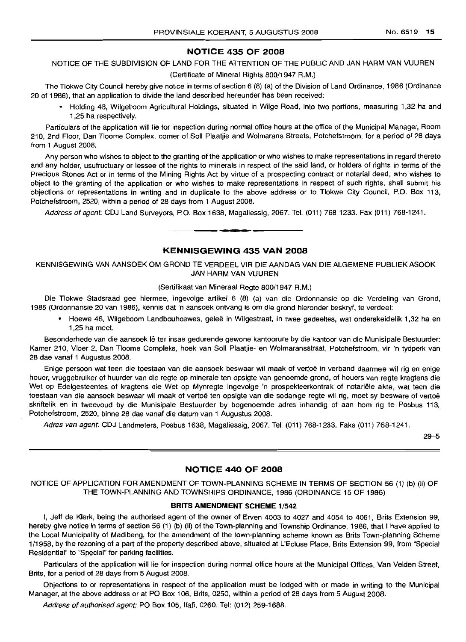#### **NOTICE 435 OF 2008**

#### NOTICE OF THE SUBDIVISION OF LAND FOR THE ATIENTION OF THE PUBLIC AND JAN HARM VAN VUUREN

(Certificate of Mineral Rights 800/1947 R.M.)

The Tlokwe City Council hereby give notice in terms of section 6 (8) (a) of the Division of Land Ordinance, 1986 (Ordinance 20 of 1986), that an application to divide the land described hereunder has been received:

• Holding 48, Wilgeboom Agricultural Holdings, situated in Wilge Road, into two portions, measuring 1,32 ha and 1,25 ha respectively.

Particulars of the application will lie for inspection during normal office hours at the office of the Municipal Manager, Room 210, 2nd Floor, Dan Tloome Complex, corner of Soli Plaatjie and Wolmarans Streets, Potchefstroom, for a period of 28 days from 1 August 2008.

Any person who wishes to object to the granting of the application or who wishes to make representations in regard thereto and any holder, usufructuary or lessee of the rights to minerals in respect of the said land, or holders of rights in terms of the Precious Stones Act or in terms of the Mining Rights Act by virtue of a prospecting contract or notarial deed, who wishes to object to the granting of the application or who wishes to make representations in respect of such rights, shall submit his objections or representations in writing and in duplicate to the above address or to Tlokwe City Council, P.O. Box 113, Potchefstroom, 2520, within a period of 28 days from 1 August 2008.

Address of agent: CDJ Land Surveyors, P.O. Box 1638, Magaliessig, 2067. Tel. (011) 768-1233. Fax (011) 768-1241. .**- .**

#### **KENNISGEWING 435 VAN 2008**

KENNISGEWING VAN AANSOEK OM GROND TE VERDEEL VIR DIE AANDAG VAN DIE ALGEMENE PUBLIEK ASOOK JAN HARM VAN VUUREN

#### (Sertifikaat van Mineraal Regte 800/1947 A.M.)

Die Tlokwe Stadsraad gee hiermee, ingevolge artikel 6 (8) (a) van die Ordonnansie op die Verdeling van Grond, 1986 (Ordonnansie 20 van 1986), kennis dat 'n aansoek ontvang is om die grond hieronder beskryf, te verdeel:

• Hoewe 48, Wilgeboom Landbouhoewes, gelee in Wilgestraat, in twee gedeeltes, wat onderskeidelik 1,32 ha en 1,25 ha meet.

Besonderhede van die aansoek lê ter insae gedurende gewone kantoorure by die kantoor van die Munisipale Bestuurder: Kamer 210, Vloer 2, Dan Tloome Compleks, hoek van Soli Plaatjie- en Wolmaransstraat, Potchefstroom, vir 'n tydperk van 28 dae vanaf 1 Augustus 2008.

Enige persoon wat teen die toestaan van die aansoek beswaar wil maak of vertoe in verband daarmee wil rig en enige houer, vruggebruiker of huurder van die regte op minerale ten opsigte van genoemde grond, of houers van regte kragtens die Wet op Edelqesteentes of kragtens die Wet op Mynregte ingevolge 'n prospekteerkontrak of notariele akte, wat teen die toestaan van die aansoek beswaar wil maak of vertoë ten opsigte van die sodanige regte wil rig, moet sy besware of vertoë skriftelik en in tweevoud by die Munisipale Bestuurder by bogenoemde adres inhandig of aan hom rig te Posbus 113, Potchefstroom, 2520, binne 28 dae vanaf die datum van 1 Augustus 2008.

Adres van agent: CDJ Landmeters, Posbus 1638, Magaliessig, 2067. Tel. (011) 768-1233. Faks (011) 768-1241.

29-5

#### **NOTICE 440 OF 2008**

NOTICE OF APPLICATION FOR AMENDMENT OF TOWN-PLANNING SCHEME IN TERMS OF SECTION 56 (1) (b) (ii) OF THE TOWN-PLANNING AND TOWNSHIPS ORDINANCE, 1986 (ORDINANCE 15 OF 1986)

#### **BRITS AMENDMENT SCHEME** 1/542

I, Jeff de Klerk, being the authorised agent of the owner of Erven 4003 to 4027 and 4054 to 4061, Brits Extension 99, hereby give notice in terms of section 56 (1) (b) (ii) of the Town-planning and Township Ordinance, 1986, that I have applied to the Local Municipality of Madibeng, for the amendment of the town-planning scheme known as Brits Town-planning Scheme 1/1958, by the rezoning of a part of the property described above, situated at L'Ecluse Place, Brits Extension 99, from "Special Residential" to "Special" for parking facilities.

Particulars of the application will lie for inspection during normal office hours at the Municipal Offices, Van Velden Street, Brits, for a period of 28 days from 5 August 2008.

Objections to or representations in respect of the application must be lodged with or made in writing to the Municipal Manager, at the above address or at PO Box 106, Brits, 0250, within a period of 28 days from 5 August 2008.

Address of authorised agent: PO Box 105, Ifafi, 0260. Tel: (012) 259-1688.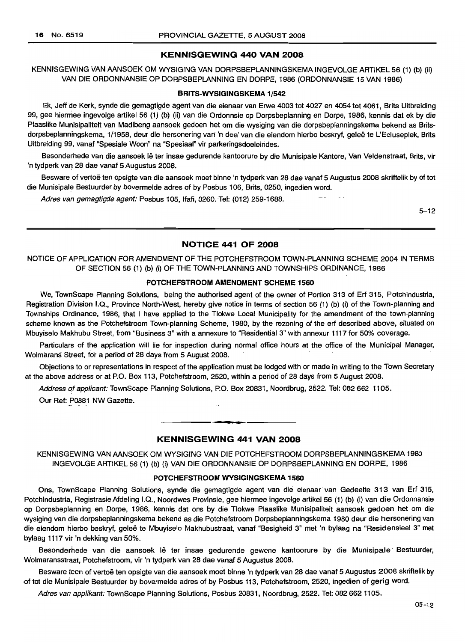### **KENNISGEWING 440 VAN 2008**

KENNISGEWING VAN AANSOEK OM WYSIGING VAN DORPSBEPLANNINGSKEMA INGEVOLGE ARTIKEL 56 (1) (b) (ii) VAN DIE ORDONNANSIE OP DORPSBEPLANNING EN DORPE, 1986 (ORDONNANSIE 15 VAN 1986)

#### **BRITS-WYSIGINGSKEMA** 1/542

Ek, Jeff de Kerk, synde die gemagtigde agent van die eienaar van Erwe 4003 tot 4027 en 4054 tot 4061, Brits Uitbreiding 99, gee hierrnee ingevolge artikel 56 (1) (b) (ii) van die Ordonnsie op Dorpsbeplanning en Dorpe, 1986, kennis dat ek by die Plaaslike Munisipaliteit van Madibeng aansoek gedoen het om die wysiging van die dorpsbeplanningskema bekend as Britsdorpsbeplanningskema, 1/1958, deur die hersonering van 'n deel van die eiendom hierbo beskryf, gelee te L'Ecluseplek, Brits Uitbreiding 99, vanaf "Spesiale Woon" na "Spesiaal" vir parkeringsdoeleirides.

Besonderhede van die aansoek lê ter insae gedurende kantoorure by die Munisipale Kantore, Van Veldenstraat, Brits, vir 'n tydperk van 28 dae vanaf 5 Augustus 2008.

Besware of vertoë ten opsigte van die aansoek moet binne 'n tydperk van 28 dae vanaf 5 Augustus 2008 skriftelik by of tot die Munisipale Bestuurder by bovermelde adres of by Posbus 106, Brits, 0250, ingedien word.

Adres van gemagtigde agent: Posbus 105, Ifafi, 0260. Tel: (012) 259-1688.

5-12

#### **NOTICE 441 OF 2008**

NOTICE OF APPLICATION FOR AMENDMENT OF THE POTCHEFSTROOM TOWN-PLANNING SCHEME 2004 IN TERMS OF SECTION 56 (1) (b) (i) OF THE TOWN-PLANNING AND TOWNSHIPS ORDINANCE, 1986

#### **POTCHEFSTROOM AMENDMENT SCHEME 1560**

We, TownScape Planning Solutions, being the authorised agent of the owner of Portion 313 of Erf 315, Potchindustria, Registration Division I.Q., Province North-West, hereby give notice in terms of section 56 (1) (b) (i) of the Town-planning and Townships Ordinance, 1986, that I have applied to the Tlokwe Local Municipality for the amendment of the town-planning scheme known as the Potchefstroom Town-planning Scheme, 1980, by the rezoning of the erf described above, situated on Mbuyiselo Makhubu Street, from "Business 3" with a annexure to "Residential 3" with annexur 1117 for 50% coverage.

Particulars of the application will lie for inspection during normal office hours at the office of the Municipal Manager, Wolmarans Street, for a period of 28 days from 5 August 2008.

Objections to or representations in respect of the application must be lodged with or made in writing to the Town Secretary at the above address or at P.O. Box 113, Potchefstroom, 2520, within a period of 28 days from 5 August 2008.

Address of applicant: TownScape Planning Solutions, P.O. Box 20831, Noordbrug, 2522. Tel: 082 662 1105.

Our Ref: P0881 NW Gazette.

#### **KENNISGEWING 441 VAN 2008**

**• •**

KENNISGEWING VAN AANSOEK OM WYSIGING VAN DIE POTCHEFSTROOM DORPSBEPLANNINGSKEMA 1980 INGEVOLGE ARTIKEL 56 (1) (b) (i) VAN DIE ORDONNANSIE OP DORPSBEPLANNING EN DORPE, 1986

#### **POTCHEFSTROOM WYSIGINGSKEMA 1560**

Ons, TownScape Planning Solutions, synde die gemagtigde agent van die eienaar van Gedeelte 313 van Erf 315, Potchindustria, Registrasie Afdeling I.Q., Noordwes Provinsie, gee hiermee ingevolge artikel 56 (1) (b) (i) van die Ordonnansie op Dorpsbeplanning en Dorpe, 1986, kennis dat ons by die Tlokwe Plaaslike Munisipaliteit aansoek gedoen het om die wysiging van die dorpsbeplanningskema bekend as die Potchefstroom Dorpsbeplanningskema 1980 deur die hersonering van die eiendom hierbo beskryf, gelee te Mbuyiselo Makhubustraat, vanaf "Besigheid 3" met 'n bylaag na "Residensieel 3" met bylaag 1117 vit 'n dekking van 50%.

Besonderhede van die aansoek lê ter insae gedurende gewone kantoorure by die Munisipale Bestuurder, Wolmaransstraat, Potchefstroom, vir 'n tydperk van 28 dae vanaf 5 Augustus 2008.

Besware teen of vertoë ten opsigte van die aansoek moet binne 'n tydperk van 28 dae vanaf 5 Augustus 2008 skriftelik by of tot die Munisipale Bestuurder by bovermelde adres of by Posbus 113, Potchefstroom, 2520, ingedien of gerig word.

Adres van applikant: TownScape Planning Solutions, Posbus 20831, Noordbrug, 2522. Tel: 082 662 1105.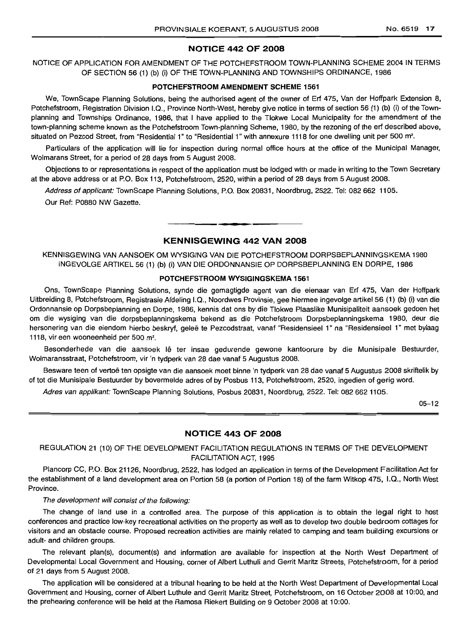#### NOTICE 442 OF 2008

NOTICE OF APPLICATION FOR AMENDMENT OF THE POTCHEFSTROOM TOWN-PLANNING SCHEME 2004 IN TERMS OF SECTION 56 (1) (b) (i) OF THE TOWN-PLANNING AND TOWNSHIPS ORDINANCE, 1986

#### POTCHEFSTROOM AMENDMENT SCHEME 1561

We, TownScape Planning Solutions, being the authorised agent of the owner of Erf 475, Van der Hoffpark Extension 8, Potchefstroom, Registration Division 1.0., Province North-West, hereby give notice in terms of section 56 (1) (b) (i) of the Townplanning and Townships Ordinance, 1986, that I have applied to the Tlokwe Local Municipality for the amendment of the town-planning scheme known as the Potchefstroom Town-planning Scheme, 1980, by the rezoning of the erf described above, situated on Pezcod Street, from "Residential 1" to "Residential 1" with annexure 1118 for one dwelling unit per 500 m<sup>2</sup>.

Particulars of the application will lie for inspection during normal office hours at the office of the Municipal Manager, Wolmarans Street, for a period of 28 days from 5 August 2008.

Objections to or representations in respect of the application must be lodged with or made in writing to the Town Secretary at the above address or at P.O. Box 113, Potchefstroom, 2520, within a period of 28 days from 5 August 2008.

Address of applicant: TownScape Planning Solutions, P.O. Box 20831, Noordbrug, 2522. Tel: 082 662 1105. Our Ref: P0880 NW Gazette.

#### KENNISGEWING 442 VAN 2008

**•**

KENNISGEWING VAN AANSOEK OM WYSIGING VAN DIE POTCHEFSTROOM DORPSBEPLANNINGSKEMA 1980 INGEVOLGE ARTIKEL 56 (1) (b) (i) VAN DIE ORDONNANSIE OP DORPSBEPLANNING EN DORPE, 1986

#### POTCHEFSTROOM WYSIGINGSKEMA 1561

Ons, TownScape Planning Solutions, synde die gemagtigde agent van die eienaar van Erf 475, Van der Hoffpark Uitbreiding 8, Potchefstroom, Registrasie Afdeling 1.0., Noordwes Provinsie, gee hiermee ingevolge artikel56 (1) (b) (i) van die Ordonnansie op Dorpsbeplanning en Dorpe, 1986, kennis dat ons by die Tlokwe Plaaslike Munisipaliteit aansoek gedoen het om die wysiging van die dorpsbeplanningskema bekend as die Potchefstroom Dorpsbeplanningskema 1980, deur die hersonering van die eiendom hierbo beskryf, geleë te Pezcodstraat, vanaf "Residensieel 1" na "Residensieel 1" met bylaag 1118, vir een wooneenheid per 500 m<sup>2</sup>.

Besonderhede van die aansoek lê ter insae gedurende gewone kantoorure by die Munisipale Bestuurder, Wolmaransstraat, Potchefstroom, vir 'n tydperk van 28 dae vanaf 5 Augustus 2008.

Besware teen of vertoë ten opsigte van die aansoek moet binne 'n tydperk van 28 dae vanaf 5 Augustus 2008 skriftelik by of tot die Munisipale Bestuurder by bovermelde adres of by Posbus 113, Potchefstroom, 2520, ingedien of gerig word.

Adres van applikant: TownScape Planning Solutions, Posbus 20831, Noordbrug, 2522. Tel: 082 662 1105.

*05-12*

#### NOTICE 443 OF 2008

REGULATION 21 (10) OF THE DEVELOPMENT FACILITATION REGULATIONS IN TERMS OF THE DEVELOPMENT FACILITATION ACT, 1995

Plancorp CC, P.O. Box 21126, Noordbrug, 2522, has lodged an application in terms of the Development Facilitation Act for the establishment of a land development area on Portion 58 (a portion of Portion 18) of the farm Witkop 475, 1.0., North West Province.

#### The development will consist of the following:

The change of land use in a controlled area. The purpose of this application is to obtain the legal right to host conferences and practice low-key recreational activities on the property as well as to develop two double bedroom cottages for visitors and an obstacle course. Proposed recreation activities are mainly related to camping and team building excursions or adult- and children groups.

The relevant plan(s), document(s) and information are available for inspection at the North West Department of Developmental Local Government and Housing, corner of Albert Luthuli and Gerrit Maritz Streets, Potchefstroom, for a period of 21 days from 5 August 2008.

The application will be considered at a tribunal hearing to be held at the North West Department of Developmental Local Government and Housing, corner of Albert Luthule and Gerrit Maritz Street, Potchefstroom, on 16 October 2008 at 10:00, and the prehearing conference will be held at the Ramosa Riekert BUilding on 9 October 2008 at 10:00.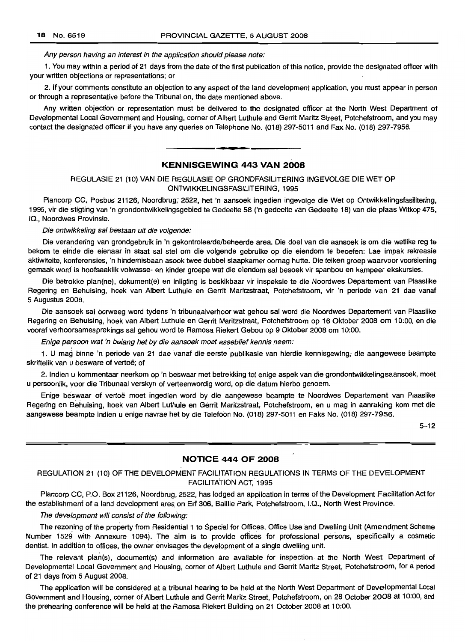#### Any person having an interest in the application should please note:

1. You may within a period of 21 days from the date of the first publication of this notice, provide the designated officer with your written objections or representations; or

2. If your comments constitute an objection to any aspect of the land development application, you must appear in person or through a representative before the Tribunal on, the date mentioned above.

Any written objection or representation must be delivered to the designated officer at the North West Department of Developmental Local Government and Housing, corner of Albert Luthule and Gerrit Maritz Street, Potchefstroom, and you may contact the designated officer if you have any queries on Telephone No. (018) 297-5011 and Fax No. (018) 297-7956.

#### **KENNISGEWING 443 VAN 2008**

**• •**

REGULASIE 21 (10) VAN DIE REGULASIE OP GRONDFASILITER/NG INGEVOLGE DIE WET OP ONTWIKKELlNGSFASILlTERING, 1995

Plancorp CC, Posbus 21126, Noordbrug; 2522, het 'n aansoek ingedien ingevolge die Wet op Ontwikkelingsfasilitering, 1995, vir die stigting van 'n grondontwikkelingsgebied te Gedeelte 58 ('n gedeelte van Gedeelte 18) van die plaas Witkop 475, IQ., Noordwes Provinsie.

#### Die ontwikkeling sal bestaan uit die volgende:

Die verandering van grondgebruik in 'n gekontroleerde/beheerde area. Die doel van die aansoek is om die wetlike reg te bekom te einde die eienaar in staat sal stel om die volgende gebruike op die eiendom te beoefen: Lae impak rekreasie aktiwiteite, konferensies, 'n hindernisbaan asook twee dubbel slaapkamer oornag hutte. Die teiken groep waarvoor voorsiening gemaak word is hoofsaaklik volwasse- en kinder groepe wat die elendom sal besoek vir spanbou en kampeer ekskursies.

Die betrokke plan(ne), dokument(e) en inligting is beskikbaar vir inspeksie te die Noordwes Departement van Plaaslike Regering en Behuising, hoek van Albert Luthule en Gerrit Maritzstraat, Potchefstroom, vir 'n periode van 21 dae vanaf 5 Augustus 2008.

Die aansoek sal oorweeg word tydens 'n tribunaalverhoor wat gehou sal word die Noordwes Departement van Plaaslike Regering en Behuising, hoek van Albert Luthule en Gerrit Maritzstraat, Potchefstroom op 16 Oktober 2008 om 10:00, en die vooraf verhoorsamesprekings sal gehou word te Ramosa Riekert Gebou op9 Oktober 2008 om 10:00.

Enige persoon wat 'n belang het by die aansoek moet asseblief kennis neem:

1. U mag binne 'n periode van 21 dae vanaf die eerste publikasie van hierdie kennisgewing; die aangewese beampte skriftelik van u besware of vertoë: of

2. Indien u kommentaar neerkom op 'n beswaar met betrekking tot enige aspek van die grondontwikkelingsaansoek, moet u persoonlik, voor die Tribunaal verskyn of verteenwordig word, op die datum hierbo genoem.

Enige beswaar of vertoë moet ingedien word by die aangewese beampte te Noordwes Departement van Plaaslike Regering en Behuising, hoek van Albert Luthule en Gerrit Maritzstraat, Potchefstroom, en u mag in aanraking kom met die aangewese bearnpte indien u enige navrae het by die Telefoon No. (018) 297-5011 en Faks No. (018) 297-7956.

 $5 - 12$ 

#### **NOTICE 444 OF 2008**

#### REGULATION 21 (10) OF THE DEVELOPMENT FACILITATION REGULATIONS IN TERMS OF THE DEVELOPMENT FACILITATION ACT, 1995

Plancorp CC, P.O. Box 21126, Noordbrug, 2522, has lodged an application in terms of the Development Facilitation Act for the establishment of a land development area on Erf 306, Baillie Park, Potchefstroom, I.Q., North West Province.

#### The development will consist of the following:

The rezoning of the property from Residential 1 to Special for Offices, Office Use and Dwelling Unit (Amendment Scheme Number 1529 with Annexure 1094). The aim is to provide offices for professional persons, specifically a cosmetic dentist. In addition to offices, the owner envisages the developmentof a single dwelling unit.

The relevant plants), document(s) and information are available for inspection at the North West Department of Developmental Local Government and Housing, corner of Albert Luthule and Gerrit Maritz Street, Potchefstroom, for a period of 21 days from 5 August 2008.

The application will be considered at a tribunal hearing to be held at the North West Department of Developmental Local Government and Housing, corner of Albert Luthule and Gerrit Maritz Street, Potchefstroom, on 28 October 2008 at 10:00, and the prehearing conference will be held at the Ramosa Riekert Building on 21 October 2008 at 10:00.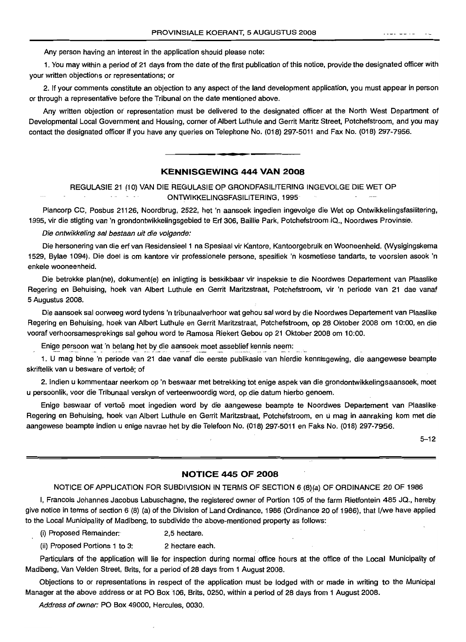Any person havinq an interest in the application should please note:

1. You may within a period of 21 days from the date of the first publication of this notice, provide the designated officer with your written objections or representations; or

2. If your comments constitute an objection to any aspect of the land development application, you must appear in person or through a representative before the Tribunal on the date mentioned above.

Any written objection or representation must be delivered to the designated officer at the North West Department of Developmental Local Government and Housing, corner of Albert Luthule and Gerrit Maritz Street, Potchefstroom, and you may contact the designated officer if you have any queries on Telephone No. (018) 297-5011 and Fax No. (018) 297-7956.

#### **KENNISGEWING 444 VAN 2008**

**•**

REGULASIE 21 (10) VAN DIE REGULASIEOP GRONDFASILITERING INGEVOLGE DIE WET OP ONTWIKKELlNGSFASILITERING,1995

Plancorp CC, Posbus 21126, Noordbrug, 2522, het 'n aansoek ingedien ingevolge die Wet op Ontwikkelingsfasilitering, 1995, vir die stigting van 'n grondontwikkelingsgebied te Ert 306, Baillie Park, Potchefstroom .IQ., Noordwes Provinsie.

Die ontwikkeling sal bestaan uit die volgende:

Die hersonering van die ert van Residensieel 1 na Spesiaal vir Kantore, Kantoorgebruik en Wooneenheid. (Wysigingskema 1529, Bylae 1094). Die doel is om kantore vir professionele persone, spesifiek 'n kosmetiese tandarts, te voorsien asook 'n enkele wooneenheid.

Die betrokke plan(ne), dokument(e) en inligting is beskikbaar vir inspeksie te die Noordwes Departement van Plaaslike Regering en Behuising, hoek van Albert Luthule en Gerrit Maritzstraat, Potchefstroom, vir 'n periode van 21 dae vanaf 5 Augustus 2008.

Die aansoek sal oorweeg word tydens 'n tribunaalverhoor wat gehou sal word by die Noordwes Departement van Plaaslike Regering en Behuising, hoek van Albert Luthule en Gerrit Maritzstraat, Potchefstroom, op 28 Oktober 2008 om 10:00, en die vooraf verhoorsamesprekings sal gehou word te Ramosa Riekert Gebou op 21 Oktober 2008 om 10:00.

Enige persoon wat 'n belang het by die aansoek moet asseblief kennis neem:

1. U mag binne 'n periode van 21 dae vanaf die eerste publikasie van hierdie kennisgewing, die aangewese beampte skriftelik van u besware of vertoë; of

2. Indien u kommentaar neerkom op 'n beswaar met betrekking tot enige aspek van die grondontwikkelingsaansoek, moet u persoonlik, voor die Tribunaal verskyn of verteenwoordig word, op die datum hierbo genoem.

Enige beswaar of vertoë moet ingedien word by die aangewese beampte te Noordwes Departement van Plaaslike Regering en Behuising, hoek van Albert Luthule en Gerrit Maritzstraat, Potchefstroom, en u mag in aanraking kom met die aangewese beampte indien u enige navrae het by die Telefoon No. (018) 297-5011 en Faks No. (018) 297-7956.

5-12

#### **NOTICE 445 OF 2008**

#### NOTICE OF APPLICATION FOR SUBDIVISION IN TERMS OF SECTION 6 (8)(a) OF ORDINANCE 20 OF 1986

I, Francois Johannes Jacobus Labuschagne, the registered owner of Portion 105 of the farm Rietfontein 485 JQ., hereby give notice in terms of section 6 (8) (a) of the Division of Land Ordinance, 1986 (Ordinance 20 of 1986), that I/we have applied to the Local Municipality of Madibeng, to subdivide the above-mentioned property as follows:

- (i) Proposed Remainder: 2,5 hectare.
- (ii) Proposed Portions 1 to 3: 2 hectare each.

Particulars of the application will lie for inspection during normal office hours at the office of the Local Municipality of Madibeng, Van Velden Street, Brits, for a period of 28 days from 1 August 2008.

Objections to or representations in respect of the application must be lodged with or made in writing to the Municipal Manager at the above address or at PO Box 106, Brits, 0250, within a period of 28 days from 1 August 2008.

Address of owner: PO Box 49000, Hercules, 0030.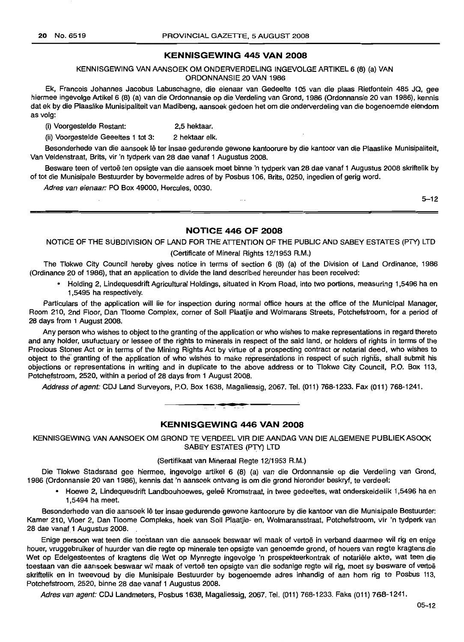#### **KENNISGEWING 445 VAN 2008**

#### KENNISGEWING VAN AANSOEK OM ONDERVERDELING INGEVOLGE ARTIKEL 6 (8) (a) VAN ORDONNANSIE 20 VAN 1986

Ek, Francois Johannes Jacobus Labuschagne, die eienaar van Gedeelte 105 van die plaas Rietfontein 485 JQ, gee hiermee ingevolge Artikel 6 (8) (a) van die Ordonnansie op die Verdeling van Grond, 1986 (Ordonnansie 20 van 1986), kennis dat ek by die Plaaslike Munisipaliteit van Madibeng, aansoek gedoen het om die onderverdeling van die bogenoemde eiendom as volg:

(I) Voorgestelde Restant: 2,5 hektaar.

(ii) Voorgestelde Geeeites 1 tot 3: 2 hektaar elk.

Besonderhede van die aansoek lê ter insae gedurende gewone kantoorure by die kantoor van die Plaaslike Munisipaliteit, Van Veldenstraat, Brits, vir 'n tydperk van 28 dae vanaf 1 Augustus 2008.

Besware teen of vertoë ten opsigte van die aansoek moet binne 'n tydperk van 28 dae vanaf 1 Augustus 2008 skriftelik by of tot die Munisipale Bestuurder by bovermelde adres of by Pasbus 106, Brits, 0250, ingedien of gerig word.

Adres van eienaar: PO Box 49000, Hercules, 0030.

5-12

#### **NOTICE 446 OF 2008**

NOTICE OF THE SUBDIVISION OF LAND FOR THE ATTENTION OF THE PUBLIC AND SABEY ESTATES (PTY) LTD

 $\sim$  .

#### (Certificate of Mineral Rights 12/1953 R.M.)

The Tlokwe City Council hereby gives notice in terms of section 6 (8) (a) of the Division of Land Ordinance, 1986 (Ordinance 20 of 1986), that an application to divide the land described hereunder has been received:

• Holding 2, Lindequesdrift Agricultural Holdings, situated in Krom Road, into two portions, measuring 1,5496 ha en 1,5495 ha respectively.

Particulars of the application will lie for inspection during normal office hours at the office of the Municipal Manager, Room 210, 2nd Floor, Dan Tloome Complex, corner of Soli Plaatjie and Wolmarans Streets, Potchefstroom, for a period of 28 days from 1 August 2008.

Any person who wishes to object to the granting of the application or who wishes to make representations in regard thereto and any holder, usufuctuary or lessee of the rights to minerals in respect of the said land, or holders of rights in terms of the Precious Stones Act or in terms of the Mining Rights Act by virtue of a prospecting contract or notarial deed, who wishes to object to the' granting of the application of who wishes to make representations in respect of such rightS, shall submit his objections or representations in writing and in duplicate to the above address or to Tlokwe City Council, P.O. Box 113, Potehefstroom, 2520, within a period of 28 days from 1 August 2008.

Address of agent: CDJ Land Surveyors, P.O. Box 1638, Magaliessig, 2067. Tel. (011) 768-1233. Fax (011) 768-1241 .

**• •**



KENNISGEWING VAN AANSOEK OM GROND TE VERDEEL VIR DIE AANDAG VAN DIE ALGEMENE PUBLIEKASOOK SABEY ESTATES (PTY) LTD

#### (Sertifikaat van Mirieraal Regte 12/1953 A.M.)

Die Tlokwe Stadsraad gee hiermee, ingevolge artikel 6 (8) (a) van die Ordonnansie op die Verdeling van Grond, 1986 (Ordonnansie 20 van 1986), kennis dat 'n aansoek ontvang is om die grond hierorider beskryf, te verdeel:

• Hoewe 2, Lindequesdrift Landbouhoewes, gelee Kromstraat, in twee gedeeltes, wat onderskeidelik 1,5496 ha en 1,5494 ha meet.

Besonderhede van die aansoek lê ter insae gedurende gewone kantoorure by die kantoor van die Munisipale Bestuurder: Kamer 210, Vloer 2, Dan Tloome Compleks, hoek van Soli Plaatjie- en, Wolmaransstraat, Potchefstroom, vir 'n tydperk van 28 dae vanaf 1 Augustus 2008.

Enige persoon wat teen die toestaan van die aansoek beswaar wil maak of vertoë in verband daarmee wil rig en enige houer, vruggebruiker of huurder van die regte op minerale ten opsigte van genoemde grand, of houers van regte kragtens die Wet op Edelgesteentes of kragtens die Wet op Mynregte ingevolge 'n prospekteerkontrak of notariele akte, wat teen die toestaan van die aansoek beswaar wil maak of vertoë ten opsigte van die sodanige regte wil rig, moet sy besware of vertoë skriftelik en in tweevoud by die Munisipale Bestuurder by bogenoemde adres inhandig of aan hom rig te Posbus 113, Potchefstroom, 2520, binne 28 dae vanaf 1 Augustus 2008.

Adres van agent: CDJ Landmeters, Posbus 1638, Magaliessig, 2067. Tel. (011) 768-1233. Faks (011) 768-1241.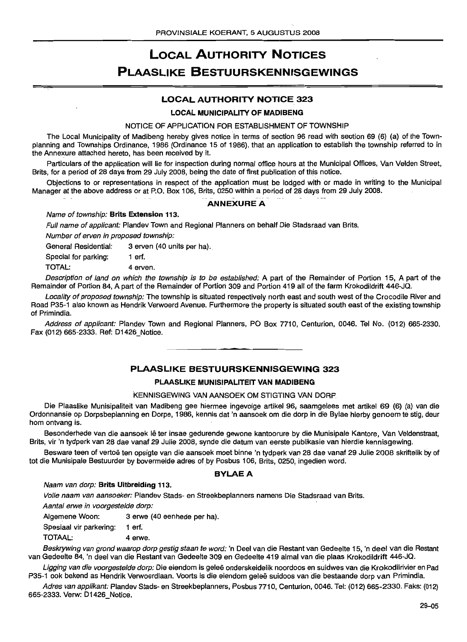## LOCAL AUTHORITY NOTICES **PLAASLIKE BESTUURSKENNISGEWINGS**

### LOCAL AUTHORITY NOTICE 323

#### LOCAL MUNICIPALITY OF MADIBENG

#### NOTICE OF APPLICATION FOR ESTABLISHMENT OF TOWNSHIP

The Local Municipality of Madibeng hereby gives notice in terms of section 96 read with section 69 (6) (a) of the Townplanning and Townships Ordinance, 1986 (Ordinance 15 of 1986), that an application to establish the township referred to in the Annexure attached hereto, has been received by it.

Particulars of the application will lie for inspection during normal office hours at the Municipal Offices, Van Velden Street, Brits, for a period of 28 days from 29 July 2008, being the date of first publication of this notice.

Objections to or representations in respect of the application must be lodqed with or made in writing to the Municipal Manager at the above address or at P.O. Box 106, Brits, 0250 within a period of 28 days from 29 July 2008.

#### ANNEXURE A

#### Name of township: Brits Extension 113.

Full name of applicant: Plandev Town and Regional Planners on behalf Die Stadsraad van Brits.

Number of erven in proposed township:

General Residential: 3 erven (40 units per ha).

Special for parking: 1 erf.

TOTAL: 4 erven.

Description of land on which the township is to be established: A part of the Remainder of Portion 15, A part of the Remainder of Portion 84, A part of the Remainder of Portion 309 and Portion 419 all of the farm Krokodildrift 446-JQ.

Locality of proposed township: The township is situated respectively north east and south west of the Crocodile River and Road P35-1 also known as Hendrik Verwoerd Avenue. Furthermore the property is situated south east of the existing township of Primindia.

Address of applicant: Plandev Town and Regional Planners, PO Box 7710, Centurion, 0046. Tel No. (012) 665-2330. Fax (012) 665-2333. Ref: 01426\_Notice.

#### PLAASLIKE BESTUURSKENNISGEWING 323

#### PLAASLIKE MUNISIPALITEIT VAN MADIBENG

#### KENNISGEWING VAN AANSOEK OM STIGTING VAN DORP

Die Plaaslike Munisipaliteit van Madibeng gee hiermee ingevolge artikel 96; saamgelees met artikel 69 (6) (a) van die Ordonnansie op Dorpsbeplanning en Dorpe, 1986, kennis dat 'n aansoek om die dorp in die Bylae hierby genoem te stig, deur hom ontvang is.

Besonderhede van die aansoek lê ter insae gedurende gewone kantoorure by die Munisipale Kantore, Van Veldenstraat, Brits, vir 'n tydperk van 28 dae vanaf 29 Julie 2008, synde die datum van eerste publikasie van hierdie kennisgewing.

Besware teen of vertoë ten opsigte van die aansoek moet binne 'n tydperk van 28 dae vanaf 29 Julie 2008 skriftelik by of tot die Munisipale Bestuurder by bovermelde adres of by Posbus 106, Brits, 0250, ingedien word.

#### BYLAEA

#### Naam van dorp: Brits Uitbreiding 113.

Volle naam van aansoeker: Plandev Stads- en Streekbeplanners namens Die Stadsraad van Brits.

Aantal erwe in voorgestelde dorp: '

Aigemene Woon: 3 erwe (40 eenhede per ha).

Spesiaal vir parkering: 1 erf.

TOTAAL: 4 erwe.

Beskrywing van grond waarop dorp gestig staan te word: 'n Deel van die Restant van Gedeelte 15, 'n deel van die Restant van Gedeelte 84, 'n deel van die Restant van Gedeelte 309 en Gedeelte 419 almal van die plaas Krokodildrift 446-JQ.

Ligging van die voorgestelde dorp: Die eiendom is geleë onderskeidelik noordoos en suidwes van die Krokodilrivier en Pad P35-1 ook bekend as Hendrik Verwoerdlaan. Voorts is die eiendom gelee suidoos van die bestaande dorp van Primindia.

Adres van applikant: Plandev Stads- en Streekbeplanners, Posbus 7710, Centurion, 0046. Tel: (012) 665-2330. Faks: (012) 665-2333. Verw: 01426 Notice.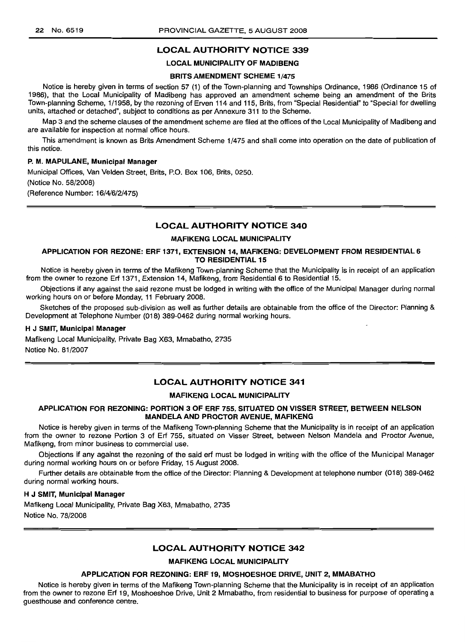#### LOCAL AUTHORITY NOTICE 339

#### LOCAL MUNICIPALITY OF MADIBENG

#### BRITS AMENDMENT SCHEME 1/475

Notice is hereby given in terms of section 57 (1) of the Town-planning and Townships Ordinance, 1986 (Ordinance 15 of 1986), that the Local Municipality of Madibeng has approved an amendment scheme being an amendment of the Brits Town-planning Scheme, 1/1958, by the rezoning of Erven 114 and 115, Brits, from "Special Residential" to "Special for dwelling units, attached or detached", subject to conditions as per Annexure 311 to the Scheme.

Map 3 and the scheme clauses of the amendment scheme are filed at the offices of the Local Municipality of Madibeng and are available for inspection at normal office hours.

This amendment is known as Brits Amendment Scheme 1/475 and shall come into operation on the date of publication of this notice.

#### P. M. MAPULANE, Municipal Manager

Municipal Offices, Van Velden Street, Brits, P.O. Box 106, Brits, 0250. (Notice No. 58/2008) (Reference Number: 16/4/6/2/475)

#### LOCAL AUTHORITY NOTICE 340

#### MAFIKENG LOCAL MUNICIPALITY

#### APPLICATION FOR REZONE: ERF 1371, EXTENSION 14, MAFIKENG: DEVELOPMENT FROM RESIDENTIAL 6 TO RESIDENTIAL 15

Notice is hereby given in terms of the Mafikeng Town-planning Scheme that the Municipality is in receipt of an application from the owner to rezone Erf 1371, Extension 14, Mafikeng, from Residential 6 to Residential 15.

Objections if any against the said rezone must be lodged in writing with the office of the Municipal Manager during normal working hours on or before Monday, 11 February 2008.

Sketches of the proposed sub-division as well as further details are obtainable from the office of the Director: Planning & Development at Telephone Number (018) 389-0462 during normal working hours.

#### H J SMIT, Municipal Manager

Mafikeng Local Municipality, Private Bag X63, Mmabatho, 2735 Notice No. 81/2007

#### **LOCAL AUTHORITY NOTICE 341**

#### MAFIKENG LOCAL MUNICIPALITY

#### APPLICATION FOR REZONING: PORTION 3 OF ERF 755, SITUATED ON VISSER STREET, BETWEEN NELSON MANDELA AND PROCTOR AVENUE, MAFIKENG

Notice is hereby given in terms of the Mafikeng Town-planning Scheme that the Municipality is in receipt of an application from the owner to rezone Portion 3 of Erf 755, situated on Visser Street, between Nelson Mandela and Proctor Avenue, Mafikeng, from minor business to commercial use.

Objections if any against the rezoning of the said erf must be lodged in writing with the office of the Municipal Manager during normal working hours on or before Friday, 15 August 2008.

Further details are obtainable from the office of the Director: Planning & Development at telephone number (018) 389-0462 during normal working hours.

#### H J SMIT, Municipal Manager

Mafikeng Local Municipality, Private Bag X63, Mmabatho, 2735 Notice No. 78/2008

#### LOCAL AUTHORITY NOTICE 342

#### MAFIKENG LOCAL MUNICIPALITY

#### APPLICATION FOR REZONING: ERF 19, MOSHOESHOE DRIVE, UNIT 2, MMABATHO

Notice is hereby given in terms of the Mafikeng Town-planning Scheme that the Municipality is in receipt of an application from the owner to rezone Erf 19, Moshoeshoe Drive, Unit 2 Mmabatho, from residential to business for purpose of operating a guesthouse and conference centre.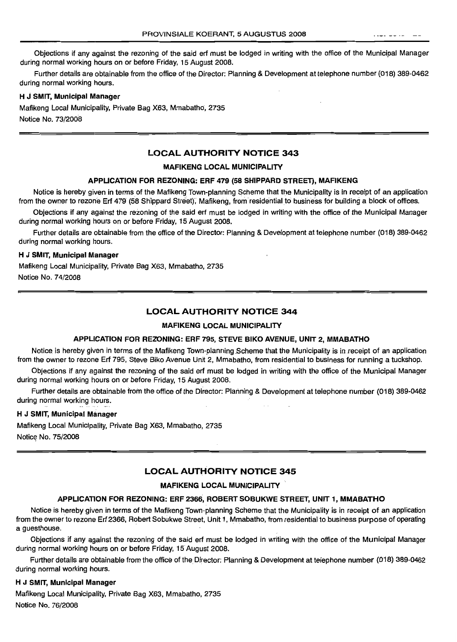Objections if any against the rezoning of the said ert must be lodged in writing with the office of the Municipal Manager during normal working hours on or before Friday, 15 August 2008.

Further details are obtainable from the office of the Director: Planning & Development at telephone number (018) 389-0462 during normal working hours.

#### H J SMIT, Municipal Manager

Mafikeng Local Municipality, Private Bag X63, Mmabatho, 2735

Notice No. 73/2008

#### LOCAL AUTHORITY NOTICE 343

#### MAFIKENG LOCAL MUNICIPALITY

#### APPLICATION FOR REZONING: ERF 479 (58 SHIPPARD STREET), MAFIKENG

Notice is hereby given in terms of the Mafikeng Town-planning Scheme that the Municipality is in receipt of an application from the owner to rezone Erf 479 (58 Shippard Street), Mafikeng, from residential to business for building a block of offices.

Objections if any against the rezoning of the said ert must be lodged in writing with the office of the Municipal Manager during normal working hours on or before Friday, 15 August 2008.

Further details are obtainable from the office of the Director: Planning & Development at telephone number (018) 389-0462 during normal working hours.

#### H J SMIT, Municipal Manager

Mafikeng Local Municipality, Private Bag X63, Mmabatho, 2735

Notice No. 74/2008

#### LOCAL AUTHORITY NOTICE 344

#### MAFIKENG LOCAL MUNICIPALITY

#### APPLICATION FOR REZONING: ERF 795, STEVE BIKO AVENUE, UNIT 2, MMABATHO

Notice is hereby given in terms of the Mafikeng Town-planning Scheme that the Municipality is in receipt of an application from the owner to rezone Ert 795, Steve Biko Avenue Unit 2, Mmabatho, from residential to business for running a tuckshop.

Objections if any against the rezoning of the said ert must be lodged in writing with the office of the Municipal Manager during normal working hours on or before Friday, 15 August 2008.

Further details are obtainable from the office of the Director: Planning & Development at telephone number (018) 389-0462 during normal working hours.

#### H J SMIT, Municipal Manager

Mafikeng Local Municipality, Private Bag X63, Mmabatho, 2735 Noticq No. 75/2008

#### LOCAL AUTHORITY NOTICE 345

#### MAFIKENG LOCAL MUNICIPALITY

#### APPLICATION FOR REZONING: ERF 2366, ROBERT SOBUKWE STREET, UNIT 1, MMABATHO

Notice is hereby given in terms of the Mafikeng Town-planning Scheme that the Municipality is in receipt of an application from the owner to rezone Ert 2366, Robert Sobukwe Street, Unit 1, Mmabatho, 'fromresidential to business purpose of operating a guesthouse.

Objections if any against the rezoning of the said erf must be lodged in writing with the office of the Municipal Manager during normal working hours on or before Friday, 15 August 2008.

Further details are obtainable from the office of the Director: Planning & Development at telephone number (018) 389-0462 during normal working hours.

#### H J SMIT, Municipal Manager

Mafikeng Local Municipality, Private Bag X63, Mmabatho, 2735 Notice No. 76/2008